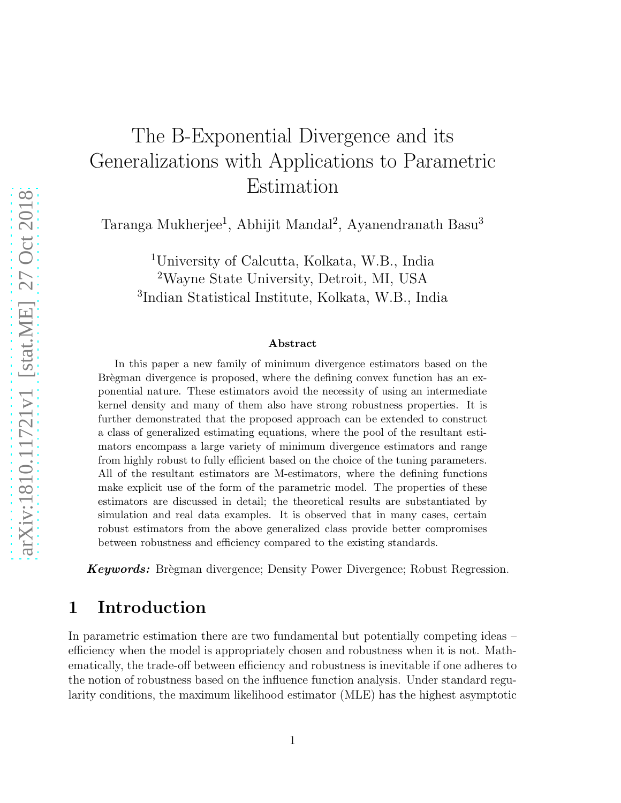# The B-Exponential Divergence and its Generalizations with Applications to Parametric Estimation

Taranga Mukherjee<sup>1</sup>, Abhijit Mandal<sup>2</sup>, Ayanendranath Basu<sup>3</sup>

<sup>1</sup>University of Calcutta, Kolkata, W.B., India <sup>2</sup>Wayne State University, Detroit, MI, USA 3 Indian Statistical Institute, Kolkata, W.B., India

#### Abstract

In this paper a new family of minimum divergence estimators based on the Brègman divergence is proposed, where the defining convex function has an exponential nature. These estimators avoid the necessity of using an intermediate kernel density and many of them also have strong robustness properties. It is further demonstrated that the proposed approach can be extended to construct a class of generalized estimating equations, where the pool of the resultant estimators encompass a large variety of minimum divergence estimators and range from highly robust to fully efficient based on the choice of the tuning parameters. All of the resultant estimators are M-estimators, where the defining functions make explicit use of the form of the parametric model. The properties of these estimators are discussed in detail; the theoretical results are substantiated by simulation and real data examples. It is observed that in many cases, certain robust estimators from the above generalized class provide better compromises between robustness and efficiency compared to the existing standards.

**Keywords:** Brègman divergence; Density Power Divergence; Robust Regression.

## 1 Introduction

In parametric estimation there are two fundamental but potentially competing ideas – efficiency when the model is appropriately chosen and robustness when it is not. Mathematically, the trade-off between efficiency and robustness is inevitable if one adheres to the notion of robustness based on the influence function analysis. Under standard regularity conditions, the maximum likelihood estimator (MLE) has the highest asymptotic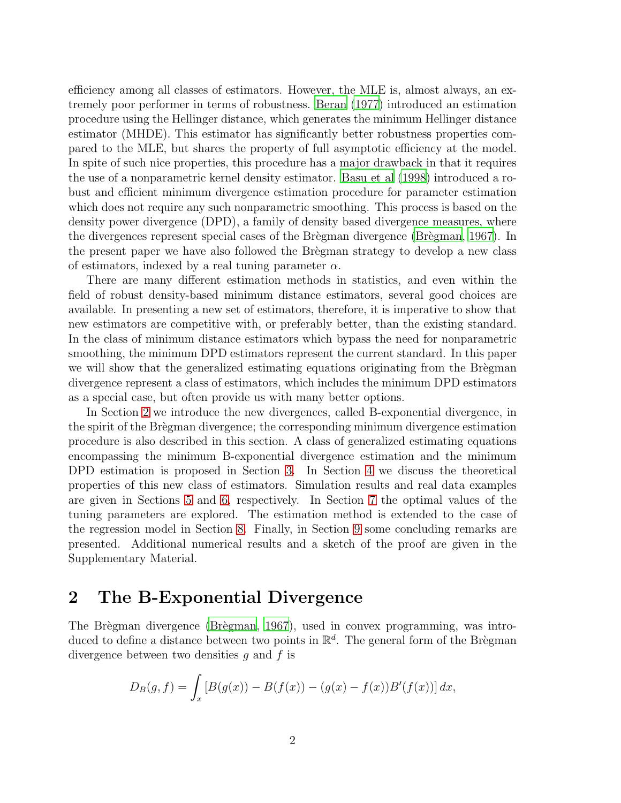efficiency among all classes of estimators. However, the MLE is, almost always, an extremely poor performer in terms of robustness. [Beran \(1977\)](#page-17-0) introduced an estimation procedure using the Hellinger distance, which generates the minimum Hellinger distance estimator (MHDE). This estimator has significantly better robustness properties compared to the MLE, but shares the property of full asymptotic efficiency at the model. In spite of such nice properties, this procedure has a major drawback in that it requires the use of a nonparametric kernel density estimator. [Basu et al \(1998](#page-17-1)) introduced a robust and efficient minimum divergence estimation procedure for parameter estimation which does not require any such nonparametric smoothing. This process is based on the density power divergence (DPD), a family of density based divergence measures, where the divergences represent special cases of the Brègman divergence (Brègman, 1967). In the present paper we have also followed the Brègman strategy to develop a new class of estimators, indexed by a real tuning parameter  $\alpha$ .

There are many different estimation methods in statistics, and even within the field of robust density-based minimum distance estimators, several good choices are available. In presenting a new set of estimators, therefore, it is imperative to show that new estimators are competitive with, or preferably better, than the existing standard. In the class of minimum distance estimators which bypass the need for nonparametric smoothing, the minimum DPD estimators represent the current standard. In this paper we will show that the generalized estimating equations originating from the Brègman divergence represent a class of estimators, which includes the minimum DPD estimators as a special case, but often provide us with many better options.

In Section [2](#page-1-0) we introduce the new divergences, called B-exponential divergence, in the spirit of the Brègman divergence; the corresponding minimum divergence estimation procedure is also described in this section. A class of generalized estimating equations encompassing the minimum B-exponential divergence estimation and the minimum DPD estimation is proposed in Section [3.](#page-3-0) In Section [4](#page-4-0) we discuss the theoretical properties of this new class of estimators. Simulation results and real data examples are given in Sections [5](#page-7-0) and [6,](#page-10-0) respectively. In Section [7](#page-11-0) the optimal values of the tuning parameters are explored. The estimation method is extended to the case of the regression model in Section [8.](#page-12-0) Finally, in Section [9](#page-16-0) some concluding remarks are presented. Additional numerical results and a sketch of the proof are given in the Supplementary Material.

## <span id="page-1-0"></span>2 The B-Exponential Divergence

The Brègman divergence (Brègman, 1967), used in convex programming, was introduced to define a distance between two points in  $\mathbb{R}^d$ . The general form of the Brègman divergence between two densities q and  $f$  is

$$
D_B(g, f) = \int_x [B(g(x)) - B(f(x)) - (g(x) - f(x))B'(f(x))] dx,
$$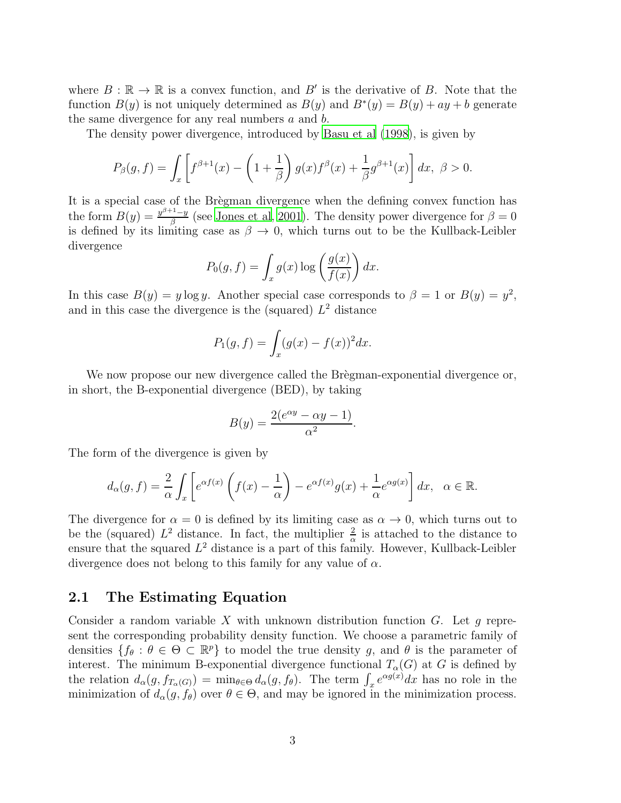where  $B: \mathbb{R} \to \mathbb{R}$  is a convex function, and  $B'$  is the derivative of B. Note that the function  $B(y)$  is not uniquely determined as  $B(y)$  and  $B^*(y) = B(y) + ay + b$  generate the same divergence for any real numbers  $a$  and  $b$ .

The density power divergence, introduced by [Basu et al \(1998\)](#page-17-1), is given by

$$
P_{\beta}(g,f) = \int_{x} \left[ f^{\beta+1}(x) - \left( 1 + \frac{1}{\beta} \right) g(x) f^{\beta}(x) + \frac{1}{\beta} g^{\beta+1}(x) \right] dx, \ \beta > 0.
$$

It is a special case of the Brègman divergence when the defining convex function has the form  $B(y) = \frac{y^{\beta+1}-y}{\beta}$  $\frac{q-1-y}{\beta}$  (see [Jones et al, 2001\)](#page-17-3). The density power divergence for  $\beta = 0$ is defined by its limiting case as  $\beta \to 0$ , which turns out to be the Kullback-Leibler divergence

$$
P_0(g, f) = \int_x g(x) \log \left( \frac{g(x)}{f(x)} \right) dx.
$$

In this case  $B(y) = y \log y$ . Another special case corresponds to  $\beta = 1$  or  $B(y) = y^2$ , and in this case the divergence is the (squared)  $L^2$  distance

$$
P_1(g, f) = \int_x (g(x) - f(x))^2 dx.
$$

We now propose our new divergence called the Bregman-exponential divergence or, in short, the B-exponential divergence (BED), by taking

$$
B(y) = \frac{2(e^{\alpha y} - \alpha y - 1)}{\alpha^2}.
$$

The form of the divergence is given by

$$
d_{\alpha}(g, f) = \frac{2}{\alpha} \int_{x} \left[ e^{\alpha f(x)} \left( f(x) - \frac{1}{\alpha} \right) - e^{\alpha f(x)} g(x) + \frac{1}{\alpha} e^{\alpha g(x)} \right] dx, \quad \alpha \in \mathbb{R}.
$$

The divergence for  $\alpha = 0$  is defined by its limiting case as  $\alpha \to 0$ , which turns out to be the (squared)  $L^2$  distance. In fact, the multiplier  $\frac{2}{\alpha}$  is attached to the distance to ensure that the squared  $L^2$  distance is a part of this family. However, Kullback-Leibler divergence does not belong to this family for any value of  $\alpha$ .

#### 2.1 The Estimating Equation

Consider a random variable X with unknown distribution function  $G$ . Let q represent the corresponding probability density function. We choose a parametric family of densities  $\{f_\theta : \theta \in \Theta \subset \mathbb{R}^p\}$  to model the true density g, and  $\theta$  is the parameter of interest. The minimum B-exponential divergence functional  $T_{\alpha}(G)$  at G is defined by the relation  $d_{\alpha}(g, f_{T_{\alpha}(G)}) = \min_{\theta \in \Theta} d_{\alpha}(g, f_{\theta})$ . The term  $\int_x e^{\alpha g(x)} dx$  has no role in the minimization of  $d_{\alpha}(g, f_{\theta})$  over  $\theta \in \Theta$ , and may be ignored in the minimization process.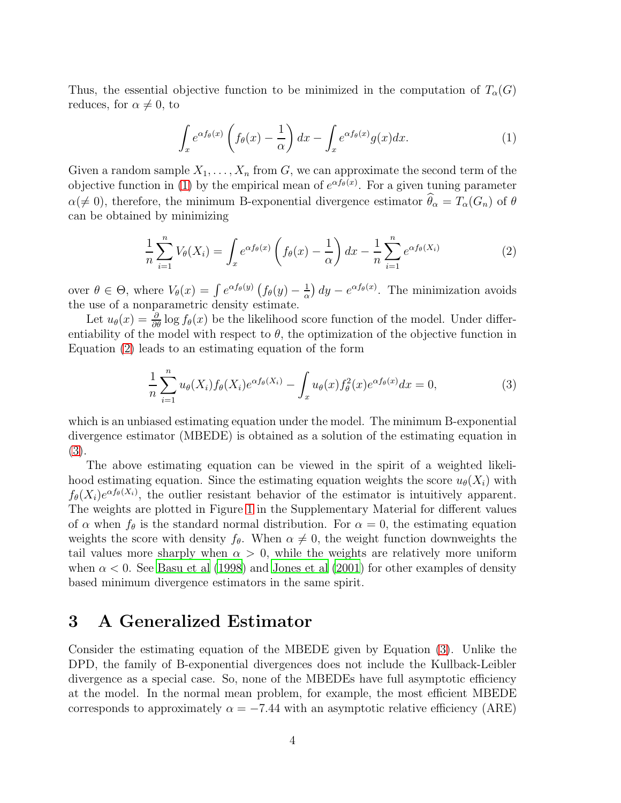Thus, the essential objective function to be minimized in the computation of  $T_{\alpha}(G)$ reduces, for  $\alpha \neq 0$ , to

<span id="page-3-1"></span>
$$
\int_{x} e^{\alpha f_{\theta}(x)} \left( f_{\theta}(x) - \frac{1}{\alpha} \right) dx - \int_{x} e^{\alpha f_{\theta}(x)} g(x) dx.
$$
 (1)

Given a random sample  $X_1, \ldots, X_n$  from G, we can approximate the second term of the objective function in [\(1\)](#page-3-1) by the empirical mean of  $e^{\alpha f_{\theta}(x)}$ . For a given tuning parameter  $\alpha(\neq 0)$ , therefore, the minimum B-exponential divergence estimator  $\widehat{\theta}_{\alpha} = T_{\alpha}(G_n)$  of  $\theta$ can be obtained by minimizing

<span id="page-3-2"></span>
$$
\frac{1}{n}\sum_{i=1}^{n}V_{\theta}(X_i) = \int_{x} e^{\alpha f_{\theta}(x)} \left(f_{\theta}(x) - \frac{1}{\alpha}\right) dx - \frac{1}{n}\sum_{i=1}^{n} e^{\alpha f_{\theta}(X_i)}\tag{2}
$$

over  $\theta \in \Theta$ , where  $V_{\theta}(x) = \int e^{\alpha f_{\theta}(y)} (f_{\theta}(y) - \frac{1}{\alpha})$  $\frac{1}{\alpha}$  dy –  $e^{\alpha f_{\theta}(x)}$ . The minimization avoids the use of a nonparametric density estimate.

Let  $u_{\theta}(x) = \frac{\partial}{\partial \theta} \log f_{\theta}(x)$  be the likelihood score function of the model. Under differentiability of the model with respect to  $\theta$ , the optimization of the objective function in Equation [\(2\)](#page-3-2) leads to an estimating equation of the form

<span id="page-3-3"></span>
$$
\frac{1}{n}\sum_{i=1}^{n}u_{\theta}(X_i)f_{\theta}(X_i)e^{\alpha f_{\theta}(X_i)} - \int_x u_{\theta}(x)f_{\theta}^2(x)e^{\alpha f_{\theta}(x)}dx = 0,
$$
\n(3)

which is an unbiased estimating equation under the model. The minimum B-exponential divergence estimator (MBEDE) is obtained as a solution of the estimating equation in [\(3\)](#page-3-3).

The above estimating equation can be viewed in the spirit of a weighted likelihood estimating equation. Since the estimating equation weights the score  $u_{\theta}(X_i)$  with  $f_{\theta}(X_i)e^{\alpha f_{\theta}(X_i)}$ , the outlier resistant behavior of the estimator is intuitively apparent. The weights are plotted in Figure [1](#page-19-0) in the Supplementary Material for different values of  $\alpha$  when  $f_{\theta}$  is the standard normal distribution. For  $\alpha = 0$ , the estimating equation weights the score with density  $f_{\theta}$ . When  $\alpha \neq 0$ , the weight function downweights the tail values more sharply when  $\alpha > 0$ , while the weights are relatively more uniform when  $\alpha$  < 0. See [Basu et al \(1998\)](#page-17-1) and [Jones et al \(2001\)](#page-17-3) for other examples of density based minimum divergence estimators in the same spirit.

### <span id="page-3-0"></span>3 A Generalized Estimator

Consider the estimating equation of the MBEDE given by Equation [\(3\)](#page-3-3). Unlike the DPD, the family of B-exponential divergences does not include the Kullback-Leibler divergence as a special case. So, none of the MBEDEs have full asymptotic efficiency at the model. In the normal mean problem, for example, the most efficient MBEDE corresponds to approximately  $\alpha = -7.44$  with an asymptotic relative efficiency (ARE)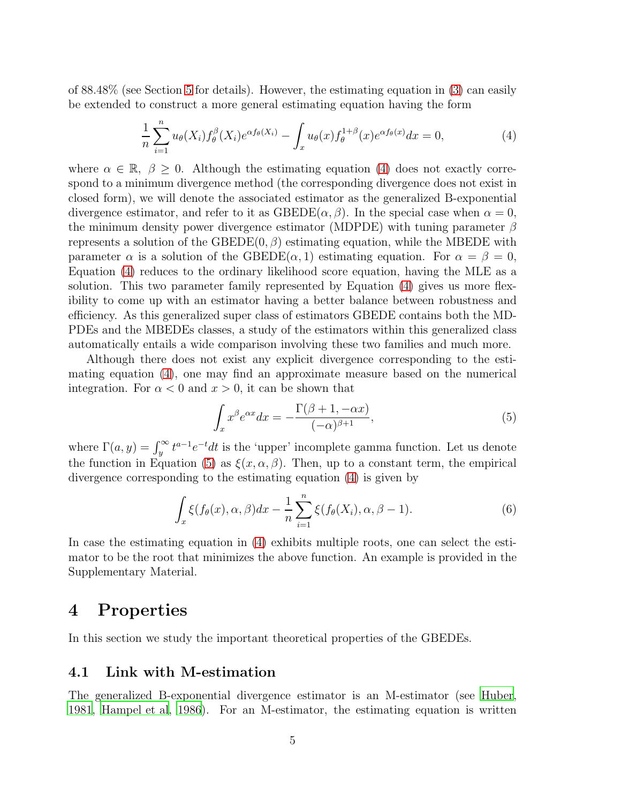of 88.48% (see Section [5](#page-7-0) for details). However, the estimating equation in [\(3\)](#page-3-3) can easily be extended to construct a more general estimating equation having the form

<span id="page-4-1"></span>
$$
\frac{1}{n}\sum_{i=1}^{n}u_{\theta}(X_i)f_{\theta}^{\beta}(X_i)e^{\alpha f_{\theta}(X_i)} - \int_{x}u_{\theta}(x)f_{\theta}^{1+\beta}(x)e^{\alpha f_{\theta}(x)}dx = 0,
$$
\n(4)

where  $\alpha \in \mathbb{R}$ ,  $\beta \geq 0$ . Although the estimating equation [\(4\)](#page-4-1) does not exactly correspond to a minimum divergence method (the corresponding divergence does not exist in closed form), we will denote the associated estimator as the generalized B-exponential divergence estimator, and refer to it as  $\text{GBEDE}(\alpha, \beta)$ . In the special case when  $\alpha = 0$ , the minimum density power divergence estimator (MDPDE) with tuning parameter  $\beta$ represents a solution of the GBEDE $(0, \beta)$  estimating equation, while the MBEDE with parameter  $\alpha$  is a solution of the GBEDE( $\alpha$ , 1) estimating equation. For  $\alpha = \beta = 0$ , Equation [\(4\)](#page-4-1) reduces to the ordinary likelihood score equation, having the MLE as a solution. This two parameter family represented by Equation [\(4\)](#page-4-1) gives us more flexibility to come up with an estimator having a better balance between robustness and efficiency. As this generalized super class of estimators GBEDE contains both the MD-PDEs and the MBEDEs classes, a study of the estimators within this generalized class automatically entails a wide comparison involving these two families and much more.

Although there does not exist any explicit divergence corresponding to the estimating equation [\(4\)](#page-4-1), one may find an approximate measure based on the numerical integration. For  $\alpha < 0$  and  $x > 0$ , it can be shown that

<span id="page-4-2"></span>
$$
\int_{x} x^{\beta} e^{\alpha x} dx = -\frac{\Gamma(\beta + 1, -\alpha x)}{(-\alpha)^{\beta + 1}},\tag{5}
$$

where  $\Gamma(a, y) = \int_{y}^{\infty} t^{a-1} e^{-t} dt$  is the 'upper' incomplete gamma function. Let us denote the function in Equation [\(5\)](#page-4-2) as  $\xi(x, \alpha, \beta)$ . Then, up to a constant term, the empirical divergence corresponding to the estimating equation [\(4\)](#page-4-1) is given by

<span id="page-4-3"></span>
$$
\int_{x} \xi(f_{\theta}(x), \alpha, \beta) dx - \frac{1}{n} \sum_{i=1}^{n} \xi(f_{\theta}(X_i), \alpha, \beta - 1).
$$
 (6)

In case the estimating equation in [\(4\)](#page-4-1) exhibits multiple roots, one can select the estimator to be the root that minimizes the above function. An example is provided in the Supplementary Material.

## <span id="page-4-0"></span>4 Properties

In this section we study the important theoretical properties of the GBEDEs.

#### 4.1 Link with M-estimation

The generalized B-exponential divergence estimator is an M-estimator (see [Huber](#page-17-4), [1981,](#page-17-4) [Hampel et al](#page-17-5), [1986\)](#page-17-5). For an M-estimator, the estimating equation is written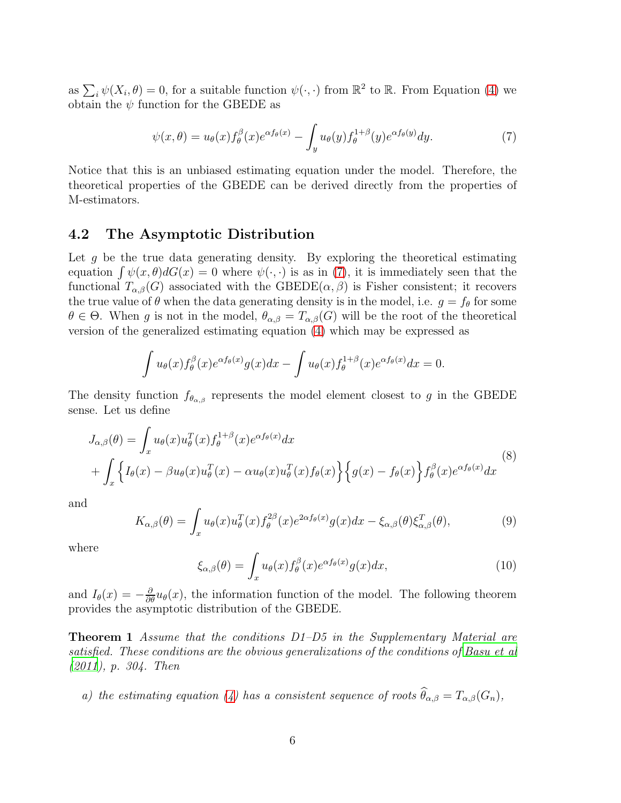as  $\sum_i \psi(X_i, \theta) = 0$ , for a suitable function  $\psi(\cdot, \cdot)$  from  $\mathbb{R}^2$  to  $\mathbb{R}$ . From Equation [\(4\)](#page-4-1) we obtain the  $\psi$  function for the GBEDE as

<span id="page-5-0"></span>
$$
\psi(x,\theta) = u_{\theta}(x) f_{\theta}^{\beta}(x) e^{\alpha f_{\theta}(x)} - \int_{y} u_{\theta}(y) f_{\theta}^{1+\beta}(y) e^{\alpha f_{\theta}(y)} dy.
$$
\n(7)

Notice that this is an unbiased estimating equation under the model. Therefore, the theoretical properties of the GBEDE can be derived directly from the properties of M-estimators.

#### 4.2 The Asymptotic Distribution

Let g be the true data generating density. By exploring the theoretical estimating equation  $\int \psi(x, \theta) dG(x) = 0$  where  $\psi(\cdot, \cdot)$  is as in [\(7\)](#page-5-0), it is immediately seen that the functional  $T_{\alpha,\beta}(G)$  associated with the GBEDE $(\alpha,\beta)$  is Fisher consistent; it recovers the true value of  $\theta$  when the data generating density is in the model, i.e.  $g = f_{\theta}$  for some  $\theta \in \Theta$ . When g is not in the model,  $\theta_{\alpha,\beta} = T_{\alpha,\beta}(G)$  will be the root of the theoretical version of the generalized estimating equation [\(4\)](#page-4-1) which may be expressed as

$$
\int u_{\theta}(x)f_{\theta}^{\beta}(x)e^{\alpha f_{\theta}(x)}g(x)dx - \int u_{\theta}(x)f_{\theta}^{1+\beta}(x)e^{\alpha f_{\theta}(x)}dx = 0.
$$

The density function  $f_{\theta_{\alpha,\beta}}$  represents the model element closest to g in the GBEDE sense. Let us define

<span id="page-5-1"></span>
$$
J_{\alpha,\beta}(\theta) = \int_x u_{\theta}(x) u_{\theta}^T(x) f_{\theta}^{1+\beta}(x) e^{\alpha f_{\theta}(x)} dx + \int_x \left\{ I_{\theta}(x) - \beta u_{\theta}(x) u_{\theta}^T(x) - \alpha u_{\theta}(x) u_{\theta}^T(x) f_{\theta}(x) \right\} \left\{ g(x) - f_{\theta}(x) \right\} f_{\theta}^{\beta}(x) e^{\alpha f_{\theta}(x)} dx
$$
(8)

and

<span id="page-5-2"></span>
$$
K_{\alpha,\beta}(\theta) = \int_x u_\theta(x) u_\theta^T(x) f_\theta^{2\beta}(x) e^{2\alpha f_\theta(x)} g(x) dx - \xi_{\alpha,\beta}(\theta) \xi_{\alpha,\beta}^T(\theta), \tag{9}
$$

where

<span id="page-5-3"></span>
$$
\xi_{\alpha,\beta}(\theta) = \int_x u_{\theta}(x) f_{\theta}^{\beta}(x) e^{\alpha f_{\theta}(x)} g(x) dx, \qquad (10)
$$

<span id="page-5-4"></span>and  $I_{\theta}(x) = -\frac{\partial}{\partial \theta}u_{\theta}(x)$ , the information function of the model. The following theorem provides the asymptotic distribution of the GBEDE.

**Theorem 1** Assume that the conditions D1–D5 in the Supplementary Material are satisfied. These conditions are the obvious generalizations of the conditions of [Basu et al](#page-17-6) [\(2011](#page-17-6)), p. 304. Then

a) the estimating equation [\(4\)](#page-4-1) has a consistent sequence of roots  $\theta_{\alpha,\beta} = T_{\alpha,\beta}(G_n)$ ,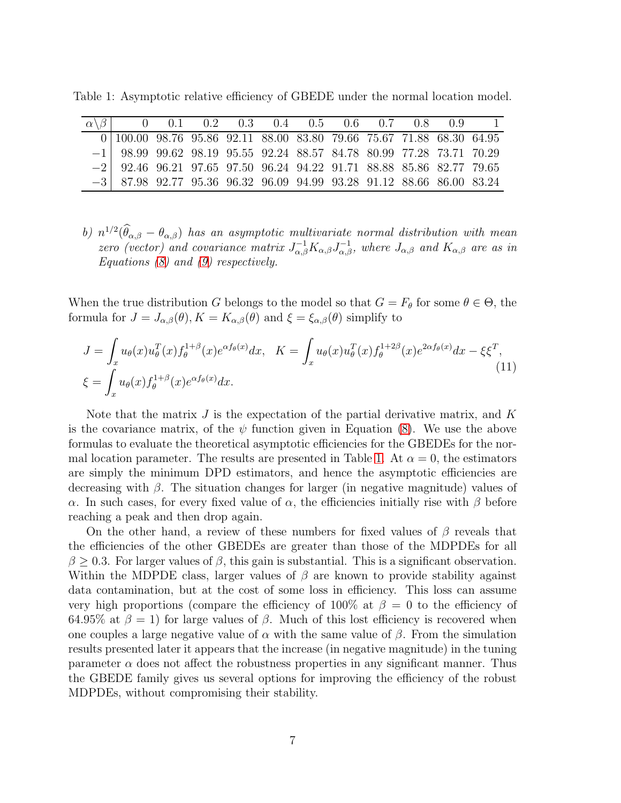|                                                                                                                     |  |  | $0$ 0.1 0.2 0.3 0.4 0.5 0.6 0.7 0.8 0.9 1 |  |  |  |
|---------------------------------------------------------------------------------------------------------------------|--|--|-------------------------------------------|--|--|--|
| $\overline{0}\, \,100.00\;\;98.76\;\;95.86\;\;92.11\;\;88.00\;\;83.80\;\;79.66\;\;75.67\;\;71.88\;\;68.30\;\;64.95$ |  |  |                                           |  |  |  |
| $-1$ 98.99 99.62 98.19 95.55 92.24 88.57 84.78 80.99 77.28 73.71 70.29                                              |  |  |                                           |  |  |  |
| $-2$ 92.46 96.21 97.65 97.50 96.24 94.22 91.71 88.88 85.86 82.77 79.65                                              |  |  |                                           |  |  |  |
| $-3$ 87.98 92.77 95.36 96.32 96.09 94.99 93.28 91.12 88.66 86.00 83.24                                              |  |  |                                           |  |  |  |

Table 1: Asymptotic relative efficiency of GBEDE under the normal location model.

b)  $n^{1/2}(\hat{\theta}_{\alpha,\beta} - \theta_{\alpha,\beta})$  has an asymptotic multivariate normal distribution with mean zero (vector) and covariance matrix  $J_{\alpha,\beta}^{-1}K_{\alpha,\beta}J_{\alpha,\beta}^{-1}$ , where  $J_{\alpha,\beta}$  and  $K_{\alpha,\beta}$  are as in Equations  $(8)$  and  $(9)$  respectively.

When the true distribution G belongs to the model so that  $G = F_{\theta}$  for some  $\theta \in \Theta$ , the formula for  $J = J_{\alpha,\beta}(\theta), K = K_{\alpha,\beta}(\theta)$  and  $\xi = \xi_{\alpha,\beta}(\theta)$  simplify to

<span id="page-6-0"></span>
$$
J = \int_x u_\theta(x) u_\theta^T(x) f_\theta^{1+\beta}(x) e^{\alpha f_\theta(x)} dx, \quad K = \int_x u_\theta(x) u_\theta^T(x) f_\theta^{1+2\beta}(x) e^{2\alpha f_\theta(x)} dx - \xi \xi^T,
$$
  

$$
\xi = \int_x u_\theta(x) f_\theta^{1+\beta}(x) e^{\alpha f_\theta(x)} dx.
$$
 (11)

Note that the matrix  $J$  is the expectation of the partial derivative matrix, and  $K$ is the covariance matrix, of the  $\psi$  function given in Equation [\(8\)](#page-5-1). We use the above formulas to evaluate the theoretical asymptotic efficiencies for the GBEDEs for the nor-mal location parameter. The results are presented in Table [1.](#page-20-0) At  $\alpha = 0$ , the estimators are simply the minimum DPD estimators, and hence the asymptotic efficiencies are decreasing with  $\beta$ . The situation changes for larger (in negative magnitude) values of α. In such cases, for every fixed value of α, the efficiencies initially rise with β before reaching a peak and then drop again.

On the other hand, a review of these numbers for fixed values of  $\beta$  reveals that the efficiencies of the other GBEDEs are greater than those of the MDPDEs for all  $\beta \geq 0.3$ . For larger values of  $\beta$ , this gain is substantial. This is a significant observation. Within the MDPDE class, larger values of  $\beta$  are known to provide stability against data contamination, but at the cost of some loss in efficiency. This loss can assume very high proportions (compare the efficiency of 100% at  $\beta = 0$  to the efficiency of 64.95% at  $\beta = 1$ ) for large values of  $\beta$ . Much of this lost efficiency is recovered when one couples a large negative value of  $\alpha$  with the same value of  $\beta$ . From the simulation results presented later it appears that the increase (in negative magnitude) in the tuning parameter  $\alpha$  does not affect the robustness properties in any significant manner. Thus the GBEDE family gives us several options for improving the efficiency of the robust MDPDEs, without compromising their stability.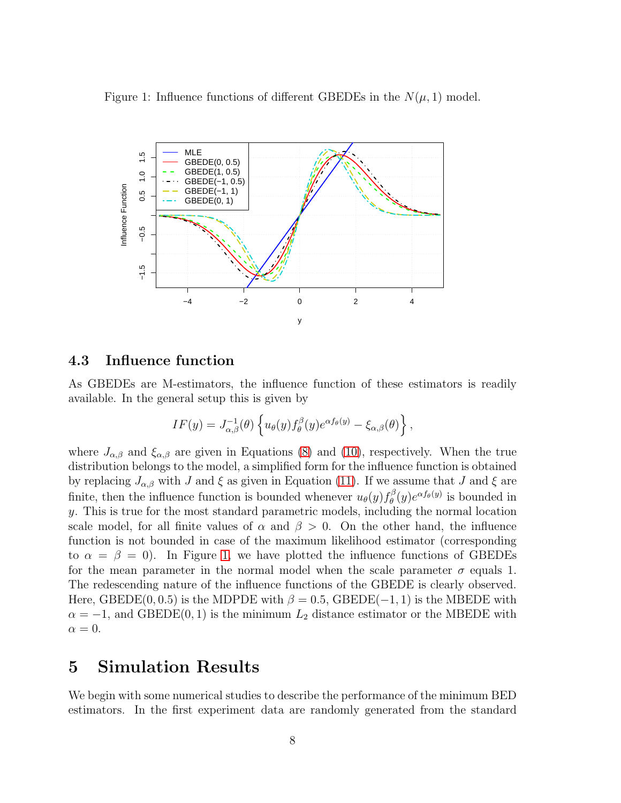Figure 1: Influence functions of different GBEDEs in the  $N(\mu, 1)$  model.



#### 4.3 Influence function

As GBEDEs are M-estimators, the influence function of these estimators is readily available. In the general setup this is given by

$$
IF(y) = J_{\alpha,\beta}^{-1}(\theta) \left\{ u_{\theta}(y) f_{\theta}^{\beta}(y) e^{\alpha f_{\theta}(y)} - \xi_{\alpha,\beta}(\theta) \right\},\,
$$

where  $J_{\alpha,\beta}$  and  $\xi_{\alpha,\beta}$  are given in Equations [\(8\)](#page-5-1) and [\(10\)](#page-5-3), respectively. When the true distribution belongs to the model, a simplified form for the influence function is obtained by replacing  $J_{\alpha,\beta}$  with J and  $\xi$  as given in Equation [\(11\)](#page-6-0). If we assume that J and  $\xi$  are finite, then the influence function is bounded whenever  $u_{\theta}(y) f_{\theta}^{\beta}$  $\theta_{\theta}^{\beta}(y)e^{\alpha f_{\theta}(y)}$  is bounded in y. This is true for the most standard parametric models, including the normal location scale model, for all finite values of  $\alpha$  and  $\beta > 0$ . On the other hand, the influence function is not bounded in case of the maximum likelihood estimator (corresponding to  $\alpha = \beta = 0$ ). In Figure [1,](#page-19-0) we have plotted the influence functions of GBEDEs for the mean parameter in the normal model when the scale parameter  $\sigma$  equals 1. The redescending nature of the influence functions of the GBEDE is clearly observed. Here, GBEDE(0, 0.5) is the MDPDE with  $\beta = 0.5$ , GBEDE(-1, 1) is the MBEDE with  $\alpha = -1$ , and GBEDE(0, 1) is the minimum  $L_2$  distance estimator or the MBEDE with  $\alpha = 0.$ 

## <span id="page-7-0"></span>5 Simulation Results

We begin with some numerical studies to describe the performance of the minimum BED estimators. In the first experiment data are randomly generated from the standard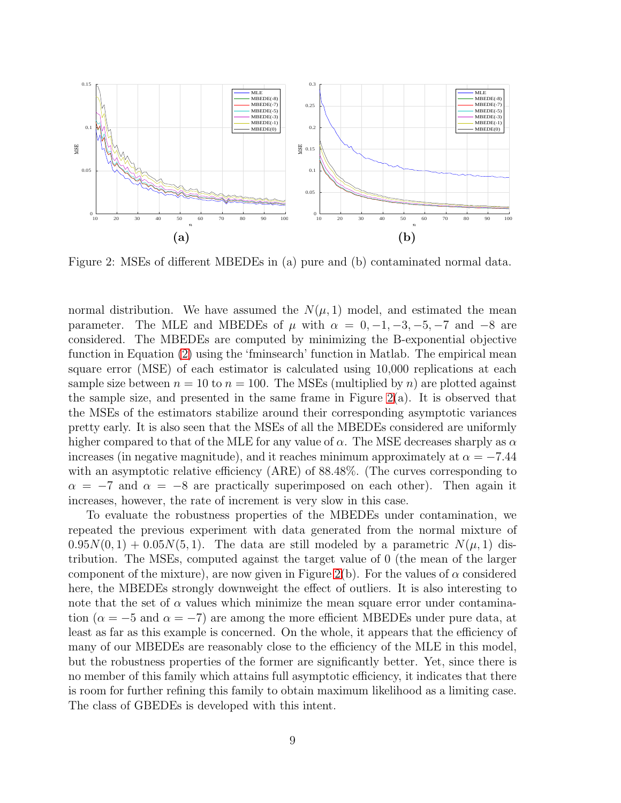

Figure 2: MSEs of different MBEDEs in (a) pure and (b) contaminated normal data.

normal distribution. We have assumed the  $N(\mu, 1)$  model, and estimated the mean parameter. The MLE and MBEDEs of  $\mu$  with  $\alpha = 0, -1, -3, -5, -7$  and  $-8$  are considered. The MBEDEs are computed by minimizing the B-exponential objective function in Equation [\(2\)](#page-3-2) using the 'fminsearch' function in Matlab. The empirical mean square error (MSE) of each estimator is calculated using 10,000 replications at each sample size between  $n = 10$  to  $n = 100$ . The MSEs (multiplied by n) are plotted against the sample size, and presented in the same frame in Figure  $2(a)$ . It is observed that the MSEs of the estimators stabilize around their corresponding asymptotic variances pretty early. It is also seen that the MSEs of all the MBEDEs considered are uniformly higher compared to that of the MLE for any value of  $\alpha$ . The MSE decreases sharply as  $\alpha$ increases (in negative magnitude), and it reaches minimum approximately at  $\alpha = -7.44$ with an asymptotic relative efficiency (ARE) of 88.48%. (The curves corresponding to  $\alpha = -7$  and  $\alpha = -8$  are practically superimposed on each other). Then again it increases, however, the rate of increment is very slow in this case.

To evaluate the robustness properties of the MBEDEs under contamination, we repeated the previous experiment with data generated from the normal mixture of  $0.95N(0, 1) + 0.05N(5, 1)$ . The data are still modeled by a parametric  $N(\mu, 1)$  distribution. The MSEs, computed against the target value of 0 (the mean of the larger component of the mixture), are now given in Figure [2\(](#page-21-0)b). For the values of  $\alpha$  considered here, the MBEDEs strongly downweight the effect of outliers. It is also interesting to note that the set of  $\alpha$  values which minimize the mean square error under contamination ( $\alpha = -5$  and  $\alpha = -7$ ) are among the more efficient MBEDEs under pure data, at least as far as this example is concerned. On the whole, it appears that the efficiency of many of our MBEDEs are reasonably close to the efficiency of the MLE in this model, but the robustness properties of the former are significantly better. Yet, since there is no member of this family which attains full asymptotic efficiency, it indicates that there is room for further refining this family to obtain maximum likelihood as a limiting case. The class of GBEDEs is developed with this intent.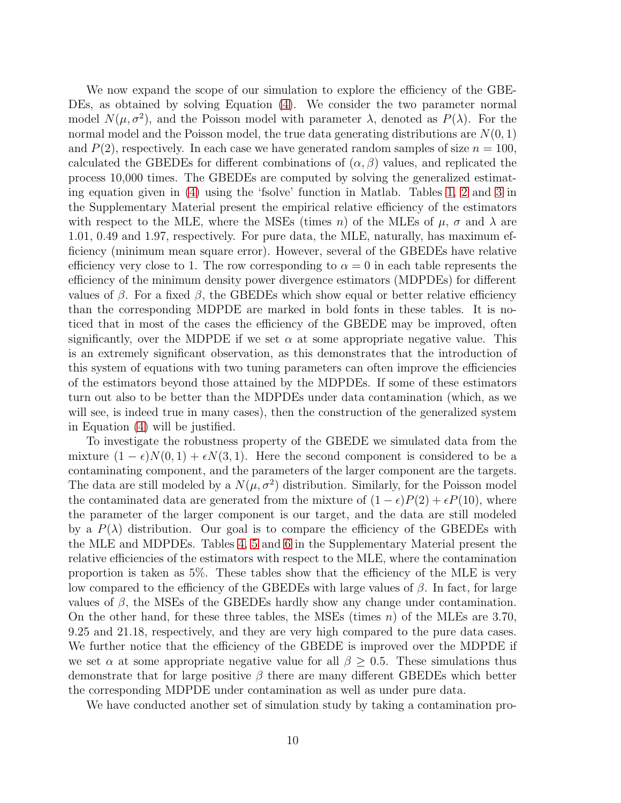We now expand the scope of our simulation to explore the efficiency of the GBE-DEs, as obtained by solving Equation [\(4\)](#page-4-1). We consider the two parameter normal model  $N(\mu, \sigma^2)$ , and the Poisson model with parameter  $\lambda$ , denoted as  $P(\lambda)$ . For the normal model and the Poisson model, the true data generating distributions are  $N(0, 1)$ and  $P(2)$ , respectively. In each case we have generated random samples of size  $n = 100$ , calculated the GBEDEs for different combinations of  $(\alpha, \beta)$  values, and replicated the process 10,000 times. The GBEDEs are computed by solving the generalized estimating equation given in [\(4\)](#page-4-1) using the 'fsolve' function in Matlab. Tables [1,](#page-20-0) [2](#page-20-1) and [3](#page-21-1) in the Supplementary Material present the empirical relative efficiency of the estimators with respect to the MLE, where the MSEs (times n) of the MLEs of  $\mu$ ,  $\sigma$  and  $\lambda$  are 1.01, 0.49 and 1.97, respectively. For pure data, the MLE, naturally, has maximum efficiency (minimum mean square error). However, several of the GBEDEs have relative efficiency very close to 1. The row corresponding to  $\alpha = 0$  in each table represents the efficiency of the minimum density power divergence estimators (MDPDEs) for different values of β. For a fixed β, the GBEDEs which show equal or better relative efficiency than the corresponding MDPDE are marked in bold fonts in these tables. It is noticed that in most of the cases the efficiency of the GBEDE may be improved, often significantly, over the MDPDE if we set  $\alpha$  at some appropriate negative value. This is an extremely significant observation, as this demonstrates that the introduction of this system of equations with two tuning parameters can often improve the efficiencies of the estimators beyond those attained by the MDPDEs. If some of these estimators turn out also to be better than the MDPDEs under data contamination (which, as we will see, is indeed true in many cases), then the construction of the generalized system in Equation [\(4\)](#page-4-1) will be justified.

To investigate the robustness property of the GBEDE we simulated data from the mixture  $(1 - \epsilon)N(0, 1) + \epsilon N(3, 1)$ . Here the second component is considered to be a contaminating component, and the parameters of the larger component are the targets. The data are still modeled by a  $N(\mu, \sigma^2)$  distribution. Similarly, for the Poisson model the contaminated data are generated from the mixture of  $(1 - \epsilon)P(2) + \epsilon P(10)$ , where the parameter of the larger component is our target, and the data are still modeled by a  $P(\lambda)$  distribution. Our goal is to compare the efficiency of the GBEDEs with the MLE and MDPDEs. Tables [4,](#page-22-0) [5](#page-23-0) and [6](#page-24-0) in the Supplementary Material present the relative efficiencies of the estimators with respect to the MLE, where the contamination proportion is taken as 5%. These tables show that the efficiency of the MLE is very low compared to the efficiency of the GBEDEs with large values of  $\beta$ . In fact, for large values of  $\beta$ , the MSEs of the GBEDEs hardly show any change under contamination. On the other hand, for these three tables, the MSEs (times  $n$ ) of the MLEs are 3.70, 9.25 and 21.18, respectively, and they are very high compared to the pure data cases. We further notice that the efficiency of the GBEDE is improved over the MDPDE if we set  $\alpha$  at some appropriate negative value for all  $\beta > 0.5$ . These simulations thus demonstrate that for large positive  $\beta$  there are many different GBEDEs which better the corresponding MDPDE under contamination as well as under pure data.

We have conducted another set of simulation study by taking a contamination pro-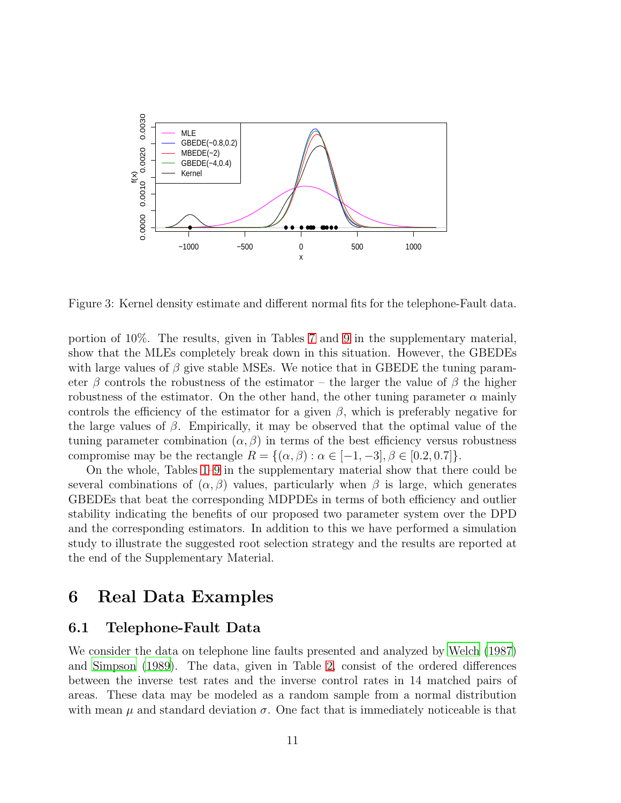

<span id="page-10-1"></span>Figure 3: Kernel density estimate and different normal fits for the telephone-Fault data.

portion of 10%. The results, given in Tables [7](#page-25-0) and [9](#page-26-0) in the supplementary material, show that the MLEs completely break down in this situation. However, the GBEDEs with large values of  $\beta$  give stable MSEs. We notice that in GBEDE the tuning parameter β controls the robustness of the estimator – the larger the value of β the higher robustness of the estimator. On the other hand, the other tuning parameter  $\alpha$  mainly controls the efficiency of the estimator for a given  $\beta$ , which is preferably negative for the large values of  $\beta$ . Empirically, it may be observed that the optimal value of the tuning parameter combination  $(\alpha, \beta)$  in terms of the best efficiency versus robustness compromise may be the rectangle  $R = \{(\alpha, \beta) : \alpha \in [-1, -3], \beta \in [0.2, 0.7]\}.$ 

On the whole, Tables [1](#page-20-0)[–9](#page-26-0) in the supplementary material show that there could be several combinations of  $(\alpha, \beta)$  values, particularly when  $\beta$  is large, which generates GBEDEs that beat the corresponding MDPDEs in terms of both efficiency and outlier stability indicating the benefits of our proposed two parameter system over the DPD and the corresponding estimators. In addition to this we have performed a simulation study to illustrate the suggested root selection strategy and the results are reported at the end of the Supplementary Material.

## <span id="page-10-0"></span>6 Real Data Examples

#### 6.1 Telephone-Fault Data

We consider the data on telephone line faults presented and analyzed by [Welch \(1987](#page-18-0)) and [Simpson \(1989\)](#page-17-7). The data, given in Table [2,](#page-20-1) consist of the ordered differences between the inverse test rates and the inverse control rates in 14 matched pairs of areas. These data may be modeled as a random sample from a normal distribution with mean  $\mu$  and standard deviation  $\sigma$ . One fact that is immediately noticeable is that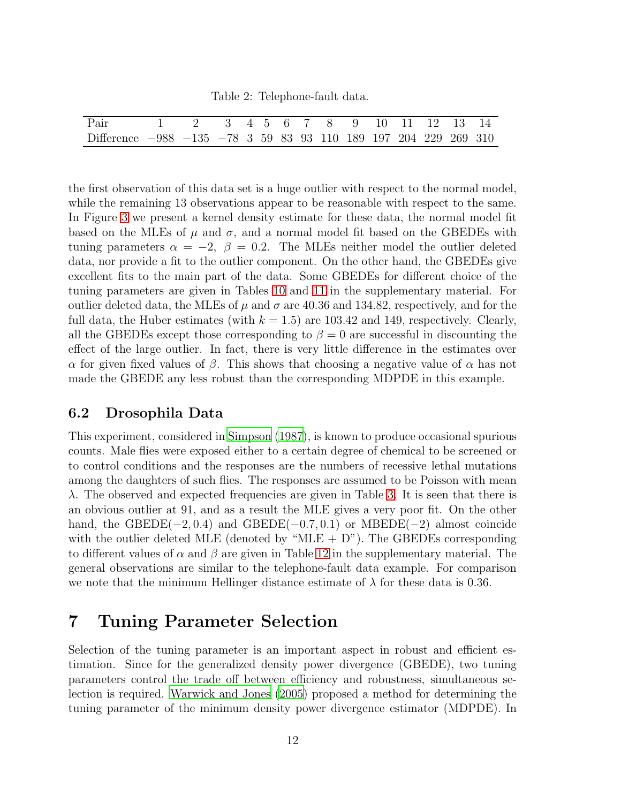Table 2: Telephone-fault data.

| Pair                                                            | 1 2 3 4 5 6 7 8 9 10 11 12 13 14 |  |  |  |  |  |  |
|-----------------------------------------------------------------|----------------------------------|--|--|--|--|--|--|
| Difference -988 -135 -78 3 59 83 93 110 189 197 204 229 269 310 |                                  |  |  |  |  |  |  |

the first observation of this data set is a huge outlier with respect to the normal model, while the remaining 13 observations appear to be reasonable with respect to the same. In Figure [3](#page-10-1) we present a kernel density estimate for these data, the normal model fit based on the MLEs of  $\mu$  and  $\sigma$ , and a normal model fit based on the GBEDEs with tuning parameters  $\alpha = -2$ ,  $\beta = 0.2$ . The MLEs neither model the outlier deleted data, nor provide a fit to the outlier component. On the other hand, the GBEDEs give excellent fits to the main part of the data. Some GBEDEs for different choice of the tuning parameters are given in Tables [10](#page-26-1) and [11](#page-26-2) in the supplementary material. For outlier deleted data, the MLEs of  $\mu$  and  $\sigma$  are 40.36 and 134.82, respectively, and for the full data, the Huber estimates (with  $k = 1.5$ ) are 103.42 and 149, respectively. Clearly, all the GBEDEs except those corresponding to  $\beta = 0$  are successful in discounting the effect of the large outlier. In fact, there is very little difference in the estimates over α for given fixed values of β. This shows that choosing a negative value of  $\alpha$  has not made the GBEDE any less robust than the corresponding MDPDE in this example.

#### 6.2 Drosophila Data

This experiment, considered in [Simpson \(1987\)](#page-17-8), is known to produce occasional spurious counts. Male flies were exposed either to a certain degree of chemical to be screened or to control conditions and the responses are the numbers of recessive lethal mutations among the daughters of such flies. The responses are assumed to be Poisson with mean  $\lambda$ . The observed and expected frequencies are given in Table [3.](#page-21-1) It is seen that there is an obvious outlier at 91, and as a result the MLE gives a very poor fit. On the other hand, the GBEDE( $-2, 0.4$ ) and GBEDE( $-0.7, 0.1$ ) or MBEDE( $-2$ ) almost coincide with the outlier deleted MLE (denoted by "MLE  $+$  D"). The GBEDEs corresponding to different values of  $\alpha$  and  $\beta$  are given in Table [12](#page-27-0) in the supplementary material. The general observations are similar to the telephone-fault data example. For comparison we note that the minimum Hellinger distance estimate of  $\lambda$  for these data is 0.36.

### <span id="page-11-0"></span>7 Tuning Parameter Selection

Selection of the tuning parameter is an important aspect in robust and efficient estimation. Since for the generalized density power divergence (GBEDE), two tuning parameters control the trade off between efficiency and robustness, simultaneous selection is required. [Warwick and Jones \(2005](#page-17-9)) proposed a method for determining the tuning parameter of the minimum density power divergence estimator (MDPDE). In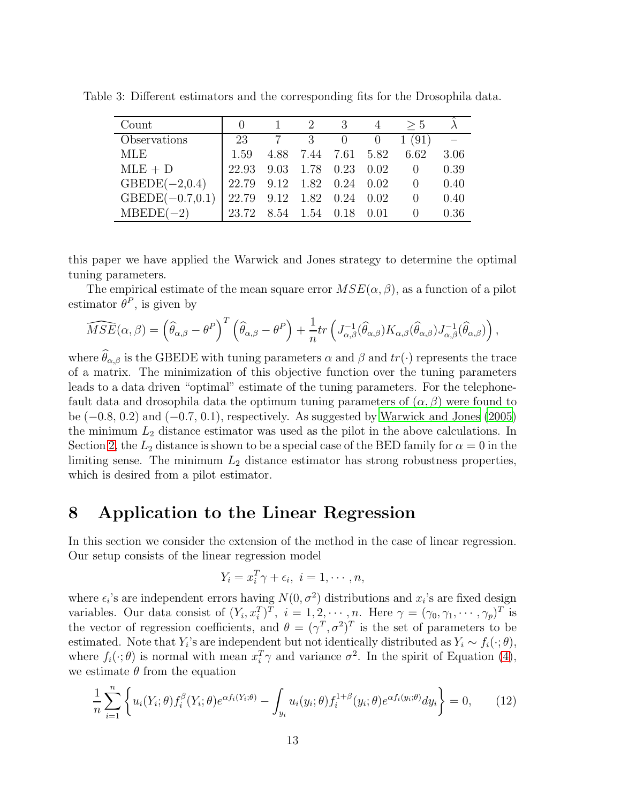| Count              |                           |                     | - 3 | > 5                      |      |
|--------------------|---------------------------|---------------------|-----|--------------------------|------|
| Observations       | 23                        |                     |     | 7 3 0 0 1 (91)           |      |
| MLE                | 1.59                      |                     |     | 4.88 7.44 7.61 5.82 6.62 | 3.06 |
| $MLE + D$          | 22.93                     | 9.03 1.78 0.23 0.02 |     | $\overline{0}$           | 0.39 |
| $GBEDE(-2,0.4)$    | 22.79 9.12 1.82 0.24 0.02 |                     |     | $\hspace{1.6cm} 0$       | 0.40 |
| $GBEDE(-0.7, 0.1)$ | 22.79 9.12 1.82 0.24 0.02 |                     |     | 0                        | 0.40 |
| $MBEDE(-2)$        | 23.72 8.54 1.54 0.18 0.01 |                     |     |                          | 0.36 |

Table 3: Different estimators and the corresponding fits for the Drosophila data.

this paper we have applied the Warwick and Jones strategy to determine the optimal tuning parameters.

The empirical estimate of the mean square error  $MSE(\alpha, \beta)$ , as a function of a pilot estimator  $\theta^P$ , is given by

$$
\widehat{MSE}(\alpha,\beta) = \left(\widehat{\theta}_{\alpha,\beta} - \theta^P\right)^T \left(\widehat{\theta}_{\alpha,\beta} - \theta^P\right) + \frac{1}{n} tr\left(J_{\alpha,\beta}^{-1}(\widehat{\theta}_{\alpha,\beta}) K_{\alpha,\beta}(\widehat{\theta}_{\alpha,\beta}) J_{\alpha,\beta}^{-1}(\widehat{\theta}_{\alpha,\beta})\right),
$$

where  $\widehat{\theta}_{\alpha,\beta}$  is the GBEDE with tuning parameters  $\alpha$  and  $\beta$  and  $tr(\cdot)$  represents the trace of a matrix. The minimization of this objective function over the tuning parameters leads to a data driven "optimal" estimate of the tuning parameters. For the telephonefault data and drosophila data the optimum tuning parameters of  $(\alpha, \beta)$  were found to be (−0.8, 0.2) and (−0.7, 0.1), respectively. As suggested by [Warwick and Jones \(2005](#page-17-9)) the minimum  $L_2$  distance estimator was used as the pilot in the above calculations. In Section [2,](#page-1-0) the  $L_2$  distance is shown to be a special case of the BED family for  $\alpha = 0$  in the limiting sense. The minimum  $L_2$  distance estimator has strong robustness properties, which is desired from a pilot estimator.

### <span id="page-12-0"></span>8 Application to the Linear Regression

In this section we consider the extension of the method in the case of linear regression. Our setup consists of the linear regression model

$$
Y_i = x_i^T \gamma + \epsilon_i, \ i = 1, \cdots, n,
$$

where  $\epsilon_i$ 's are independent errors having  $N(0, \sigma^2)$  distributions and  $x_i$ 's are fixed design variables. Our data consist of  $(Y_i, x_i^T)^T$ ,  $i = 1, 2, \dots, n$ . Here  $\gamma = (\gamma_0, \gamma_1, \dots, \gamma_p)^T$  is the vector of regression coefficients, and  $\theta = (\gamma^T, \sigma^2)^T$  is the set of parameters to be estimated. Note that Y<sub>i</sub>'s are independent but not identically distributed as  $Y_i \sim f_i(\cdot; \theta)$ , where  $f_i(\cdot; \theta)$  is normal with mean  $x_i^T \gamma$  and variance  $\sigma^2$ . In the spirit of Equation [\(4\)](#page-4-1), we estimate  $\theta$  from the equation

<span id="page-12-1"></span>
$$
\frac{1}{n}\sum_{i=1}^{n}\left\{u_i(Y_i;\theta)f_i^{\beta}(Y_i;\theta)e^{\alpha f_i(Y_i;\theta)} - \int_{y_i}u_i(y_i;\theta)f_i^{1+\beta}(y_i;\theta)e^{\alpha f_i(y_i;\theta)}dy_i\right\} = 0, \quad (12)
$$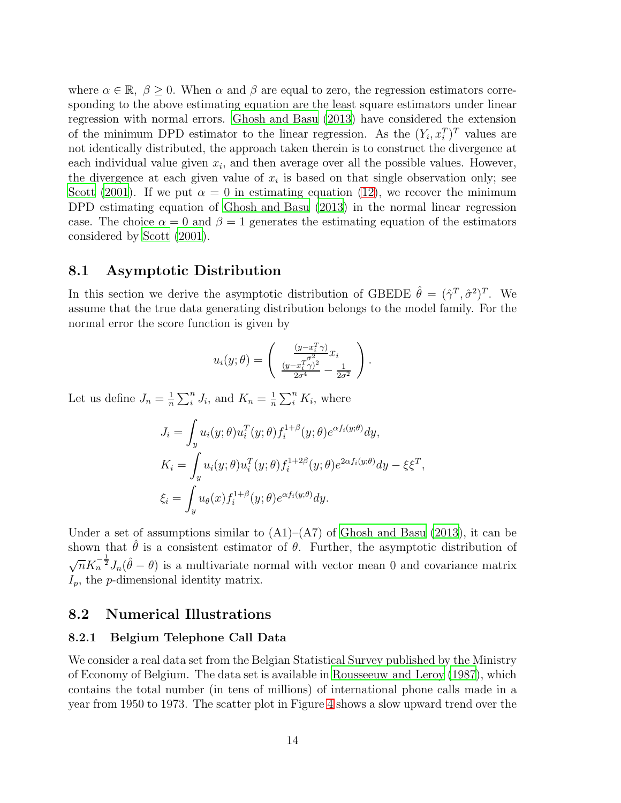where  $\alpha \in \mathbb{R}, \ \beta \geq 0$ . When  $\alpha$  and  $\beta$  are equal to zero, the regression estimators corresponding to the above estimating equation are the least square estimators under linear regression with normal errors. [Ghosh and Basu \(2013\)](#page-17-10) have considered the extension of the minimum DPD estimator to the linear regression. As the  $(Y_i, x_i^T)^T$  values are not identically distributed, the approach taken therein is to construct the divergence at each individual value given  $x_i$ , and then average over all the possible values. However, the divergence at each given value of  $x_i$  is based on that single observation only; see [Scott \(2001\)](#page-17-11). If we put  $\alpha = 0$  in estimating equation [\(12\)](#page-12-1), we recover the minimum DPD estimating equation of [Ghosh and Basu \(2013\)](#page-17-10) in the normal linear regression case. The choice  $\alpha = 0$  and  $\beta = 1$  generates the estimating equation of the estimators considered by [Scott \(2001\)](#page-17-11).

#### 8.1 Asymptotic Distribution

In this section we derive the asymptotic distribution of GBEDE  $\hat{\theta} = (\hat{\gamma}^T, \hat{\sigma}^2)^T$ . We assume that the true data generating distribution belongs to the model family. For the normal error the score function is given by

$$
u_i(y; \theta) = \begin{pmatrix} \frac{(y - x_i^T \gamma)}{2} x_i \\ \frac{(y - x_i^T \gamma)^2}{2\sigma^4} - \frac{1}{2\sigma^2} \end{pmatrix}.
$$

Let us define  $J_n = \frac{1}{n}$  $\frac{1}{n}\sum_{i}^{n} J_i$ , and  $K_n = \frac{1}{n}$  $\frac{1}{n} \sum_{i}^{n} K_i$ , where

$$
J_i = \int_y u_i(y; \theta) u_i^T(y; \theta) f_i^{1+\beta}(y; \theta) e^{\alpha f_i(y; \theta)} dy,
$$
  
\n
$$
K_i = \int_y u_i(y; \theta) u_i^T(y; \theta) f_i^{1+2\beta}(y; \theta) e^{2\alpha f_i(y; \theta)} dy - \xi \xi^T,
$$
  
\n
$$
\xi_i = \int_y u_\theta(x) f_i^{1+\beta}(y; \theta) e^{\alpha f_i(y; \theta)} dy.
$$

Under a set of assumptions similar to  $(A1)$ – $(A7)$  of [Ghosh and Basu \(2013](#page-17-10)), it can be shown that  $\hat{\theta}$  is a consistent estimator of  $\theta$ . Further, the asymptotic distribution of  $\sqrt{n}K_n^{-\frac{1}{2}}J_n(\hat{\theta}-\theta)$  is a multivariate normal with vector mean 0 and covariance matrix  $I_p$ , the p-dimensional identity matrix.

#### 8.2 Numerical Illustrations

#### 8.2.1 Belgium Telephone Call Data

We consider a real data set from the Belgian Statistical Survey published by the Ministry of Economy of Belgium. The data set is available in [Rousseeuw and Leroy \(1987](#page-17-12)), which contains the total number (in tens of millions) of international phone calls made in a year from 1950 to 1973. The scatter plot in Figure [4](#page-14-0) shows a slow upward trend over the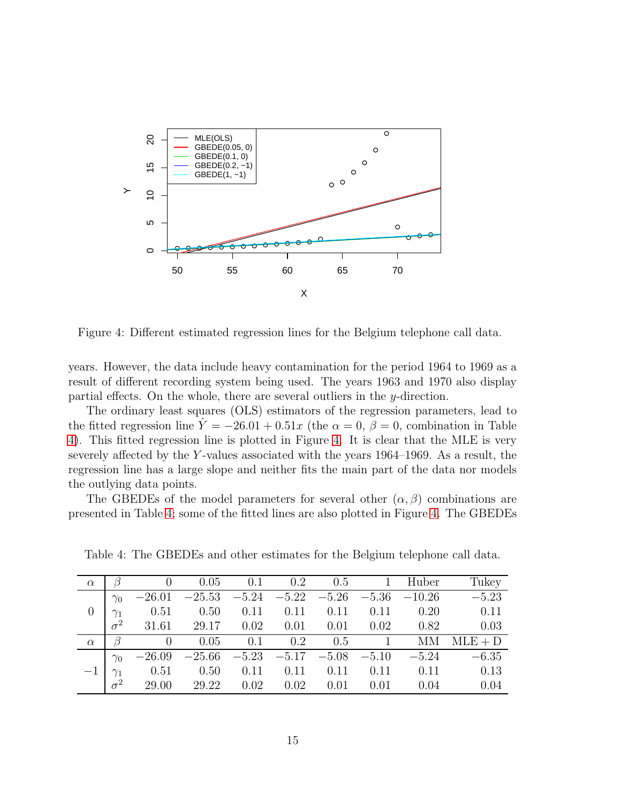

<span id="page-14-0"></span>Figure 4: Different estimated regression lines for the Belgium telephone call data.

years. However, the data include heavy contamination for the period 1964 to 1969 as a result of different recording system being used. The years 1963 and 1970 also display partial effects. On the whole, there are several outliers in the y-direction.

The ordinary least squares (OLS) estimators of the regression parameters, lead to the fitted regression line  $\hat{Y} = -26.01 + 0.51x$  (the  $\alpha = 0$ ,  $\beta = 0$ , combination in Table [4\)](#page-22-0). This fitted regression line is plotted in Figure [4.](#page-14-0) It is clear that the MLE is very severely affected by the Y-values associated with the years  $1964-1969$ . As a result, the regression line has a large slope and neither fits the main part of the data nor models the outlying data points.

The GBEDEs of the model parameters for several other  $(\alpha, \beta)$  combinations are presented in Table [4;](#page-22-0) some of the fitted lines are also plotted in Figure [4.](#page-14-0) The GBEDEs

| $\alpha$ |            |          | 0.05                     | 0.1  | $0.2 \t 0.5 \t 1$ |      |                 | Huber                    | Tukey     |
|----------|------------|----------|--------------------------|------|-------------------|------|-----------------|--------------------------|-----------|
|          | $\gamma_0$ | $-26.01$ | $-25.53$ $-5.24$ $-5.22$ |      |                   |      |                 | $-5.26$ $-5.36$ $-10.26$ | $-5.23$   |
|          | $\gamma_1$ | 0.51     | $0.50 \t 0.11$           |      | 0.11              | 0.11 | 0.11            | 0.20                     | 0.11      |
|          | $\sigma^2$ | 31.61    | 29.17                    | 0.02 | 0.01              | 0.01 | 0.02            | 0.82                     | 0.03      |
| $\alpha$ |            | $\theta$ | 0.05                     | 0.1  | $0.2 \t 0.5 \t 1$ |      |                 | MМ                       | $MLE + D$ |
|          | $\gamma_0$ | $-26.09$ | $-25.66$                 |      | $-5.23 -5.17$     |      | $-5.08$ $-5.10$ | $-5.24$                  | $-6.35$   |
|          |            | 0.51     | 0.50                     | 0.11 | 0.11              | 0.11 | 0.11            | 0.11                     | 0.13      |
|          | $\sigma^2$ | 29.00    | 29.22                    | 0.02 | 0.02              | 0.01 | 0.01            | 0.04                     | 0.04      |

Table 4: The GBEDEs and other estimates for the Belgium telephone call data.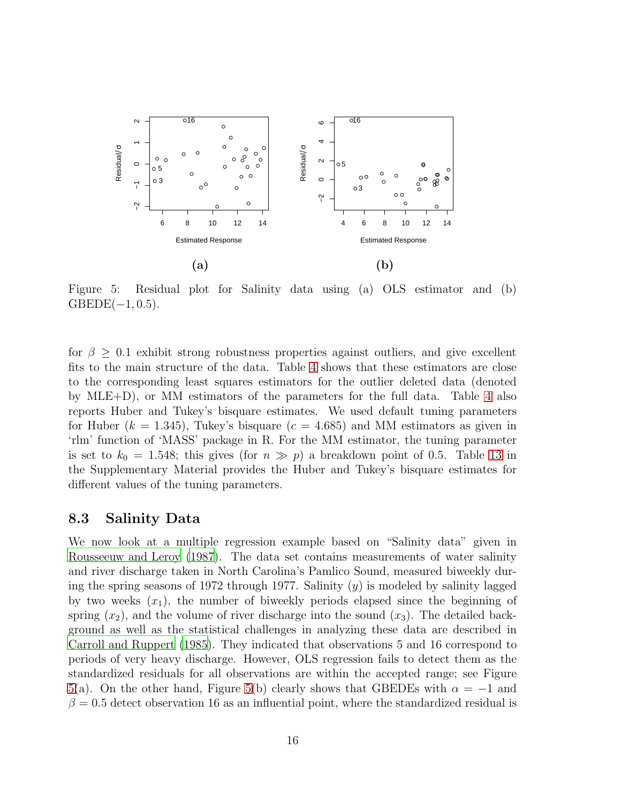

<span id="page-15-0"></span>Figure 5: Residual plot for Salinity data using (a) OLS estimator and (b)  $GBEDE(-1, 0.5).$ 

for  $\beta \geq 0.1$  exhibit strong robustness properties against outliers, and give excellent fits to the main structure of the data. Table [4](#page-22-0) shows that these estimators are close to the corresponding least squares estimators for the outlier deleted data (denoted by MLE+D), or MM estimators of the parameters for the full data. Table [4](#page-22-0) also reports Huber and Tukey's bisquare estimates. We used default tuning parameters for Huber ( $k = 1.345$ ), Tukey's bisquare ( $c = 4.685$ ) and MM estimators as given in 'rlm' function of 'MASS' package in R. For the MM estimator, the tuning parameter is set to  $k_0 = 1.548$ ; this gives (for  $n \gg p$ ) a breakdown point of 0.5. Table [13](#page-27-1) in the Supplementary Material provides the Huber and Tukey's bisquare estimates for different values of the tuning parameters.

#### 8.3 Salinity Data

We now look at a multiple regression example based on "Salinity data" given in [Rousseeuw and Leroy \(1987](#page-17-12)). The data set contains measurements of water salinity and river discharge taken in North Carolina's Pamlico Sound, measured biweekly during the spring seasons of 1972 through 1977. Salinity  $(y)$  is modeled by salinity lagged by two weeks  $(x_1)$ , the number of biweekly periods elapsed since the beginning of spring  $(x_2)$ , and the volume of river discharge into the sound  $(x_3)$ . The detailed background as well as the statistical challenges in analyzing these data are described in [Carroll and Ruppert \(1985\)](#page-17-13). They indicated that observations 5 and 16 correspond to periods of very heavy discharge. However, OLS regression fails to detect them as the standardized residuals for all observations are within the accepted range; see Figure [5\(](#page-15-0)a). On the other hand, Figure [5\(](#page-15-0)b) clearly shows that GBEDEs with  $\alpha = -1$  and  $\beta = 0.5$  detect observation 16 as an influential point, where the standardized residual is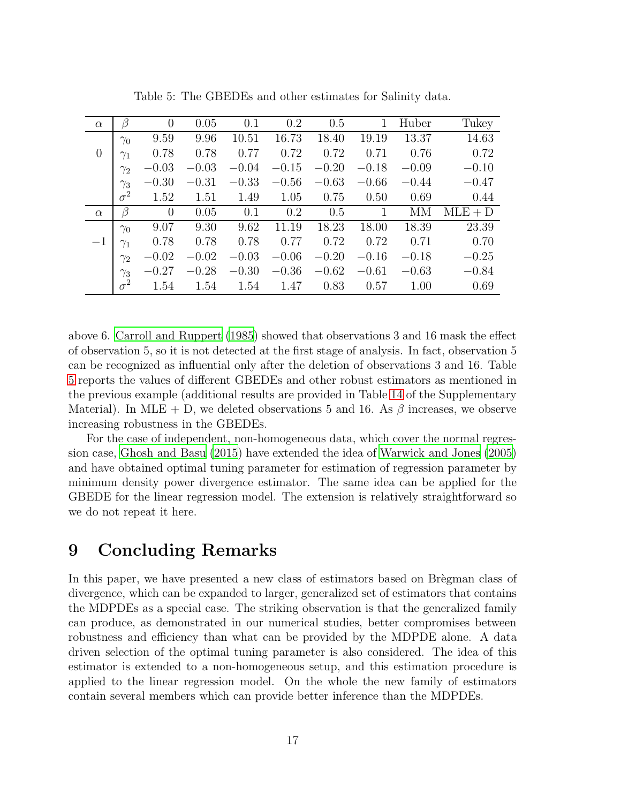| $\alpha$       | ß          | $\theta$ | 0.05    | 0.1     | 0.2     | 0.5     | $\mathbf 1$ | Huber   | Tukey     |
|----------------|------------|----------|---------|---------|---------|---------|-------------|---------|-----------|
|                | $\gamma_0$ | 9.59     | 9.96    | 10.51   | 16.73   | 18.40   | 19.19       | 13.37   | 14.63     |
| $\overline{0}$ | $\gamma_1$ | 0.78     | 0.78    | 0.77    | 0.72    | 0.72    | 0.71        | 0.76    | 0.72      |
|                | $\gamma_2$ | $-0.03$  | $-0.03$ | $-0.04$ | $-0.15$ | $-0.20$ | $-0.18$     | $-0.09$ | $-0.10$   |
|                | $\gamma_3$ | $-0.30$  | $-0.31$ | $-0.33$ | $-0.56$ | $-0.63$ | $-0.66$     | $-0.44$ | $-0.47$   |
|                | $\sigma^2$ | 1.52     | 1.51    | 1.49    | 1.05    | 0.75    | 0.50        | 0.69    | 0.44      |
| $\alpha$       | β          | $\theta$ | 0.05    | 0.1     | 0.2     | 0.5     |             | MМ      | $MLE + D$ |
|                | $\gamma_0$ | 9.07     | 9.30    | 9.62    | 11.19   | 18.23   | 18.00       | 18.39   | 23.39     |
| $-1$           | $\gamma_1$ | 0.78     | 0.78    | 0.78    | 0.77    | 0.72    | 0.72        | 0.71    | 0.70      |
|                | $\gamma_2$ | $-0.02$  | $-0.02$ | $-0.03$ | $-0.06$ | $-0.20$ | $-0.16$     | $-0.18$ | $-0.25$   |
|                | $\gamma_3$ | $-0.27$  | $-0.28$ | $-0.30$ | $-0.36$ | $-0.62$ | $-0.61$     | $-0.63$ | $-0.84$   |
|                | $\sigma^2$ | 1.54     | 1.54    | 1.54    | 1.47    | 0.83    | 0.57        | 1.00    | 0.69      |

Table 5: The GBEDEs and other estimates for Salinity data.

above 6. [Carroll and Ruppert \(1985](#page-17-13)) showed that observations 3 and 16 mask the effect of observation 5, so it is not detected at the first stage of analysis. In fact, observation 5 can be recognized as influential only after the deletion of observations 3 and 16. Table [5](#page-23-0) reports the values of different GBEDEs and other robust estimators as mentioned in the previous example (additional results are provided in Table [14](#page-27-2) of the Supplementary Material). In MLE + D, we deleted observations 5 and 16. As  $\beta$  increases, we observe increasing robustness in the GBEDEs.

For the case of independent, non-homogeneous data, which cover the normal regression case, [Ghosh and Basu \(2015\)](#page-17-14) have extended the idea of [Warwick and Jones \(2005](#page-17-9)) and have obtained optimal tuning parameter for estimation of regression parameter by minimum density power divergence estimator. The same idea can be applied for the GBEDE for the linear regression model. The extension is relatively straightforward so we do not repeat it here.

## <span id="page-16-0"></span>9 Concluding Remarks

In this paper, we have presented a new class of estimators based on Brègman class of divergence, which can be expanded to larger, generalized set of estimators that contains the MDPDEs as a special case. The striking observation is that the generalized family can produce, as demonstrated in our numerical studies, better compromises between robustness and efficiency than what can be provided by the MDPDE alone. A data driven selection of the optimal tuning parameter is also considered. The idea of this estimator is extended to a non-homogeneous setup, and this estimation procedure is applied to the linear regression model. On the whole the new family of estimators contain several members which can provide better inference than the MDPDEs.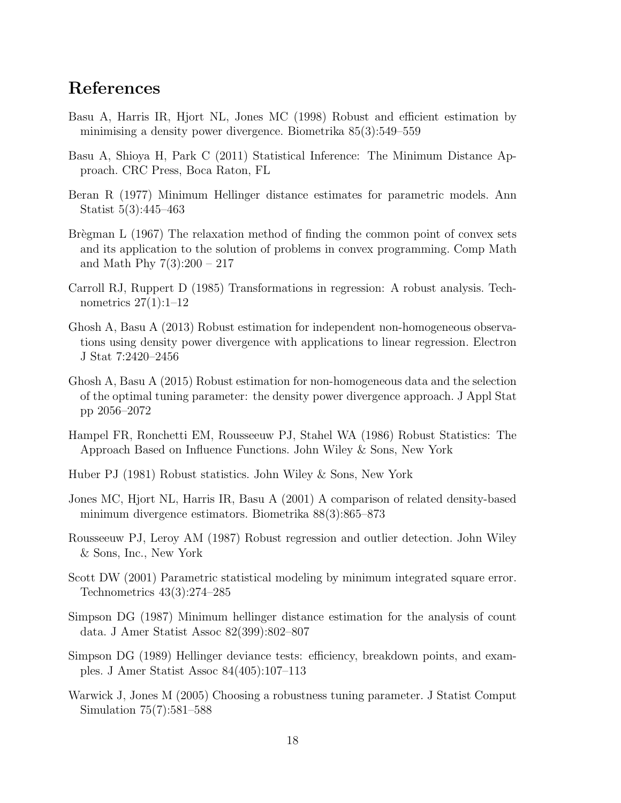## References

- <span id="page-17-1"></span>Basu A, Harris IR, Hjort NL, Jones MC (1998) Robust and efficient estimation by minimising a density power divergence. Biometrika 85(3):549–559
- <span id="page-17-6"></span>Basu A, Shioya H, Park C (2011) Statistical Inference: The Minimum Distance Approach. CRC Press, Boca Raton, FL
- <span id="page-17-0"></span>Beran R (1977) Minimum Hellinger distance estimates for parametric models. Ann Statist 5(3):445–463
- <span id="page-17-2"></span>Brègman L  $(1967)$  The relaxation method of finding the common point of convex sets and its application to the solution of problems in convex programming. Comp Math and Math Phy 7(3):200 – 217
- <span id="page-17-13"></span>Carroll RJ, Ruppert D (1985) Transformations in regression: A robust analysis. Technometrics 27(1):1–12
- <span id="page-17-10"></span>Ghosh A, Basu A (2013) Robust estimation for independent non-homogeneous observations using density power divergence with applications to linear regression. Electron J Stat 7:2420–2456
- <span id="page-17-14"></span>Ghosh A, Basu A (2015) Robust estimation for non-homogeneous data and the selection of the optimal tuning parameter: the density power divergence approach. J Appl Stat pp 2056–2072
- <span id="page-17-5"></span>Hampel FR, Ronchetti EM, Rousseeuw PJ, Stahel WA (1986) Robust Statistics: The Approach Based on Influence Functions. John Wiley & Sons, New York
- <span id="page-17-4"></span>Huber PJ (1981) Robust statistics. John Wiley & Sons, New York
- <span id="page-17-3"></span>Jones MC, Hjort NL, Harris IR, Basu A (2001) A comparison of related density-based minimum divergence estimators. Biometrika 88(3):865–873
- <span id="page-17-12"></span>Rousseeuw PJ, Leroy AM (1987) Robust regression and outlier detection. John Wiley & Sons, Inc., New York
- <span id="page-17-11"></span>Scott DW (2001) Parametric statistical modeling by minimum integrated square error. Technometrics 43(3):274–285
- <span id="page-17-8"></span>Simpson DG (1987) Minimum hellinger distance estimation for the analysis of count data. J Amer Statist Assoc 82(399):802–807
- <span id="page-17-7"></span>Simpson DG (1989) Hellinger deviance tests: efficiency, breakdown points, and examples. J Amer Statist Assoc 84(405):107–113
- <span id="page-17-9"></span>Warwick J, Jones M (2005) Choosing a robustness tuning parameter. J Statist Comput Simulation 75(7):581–588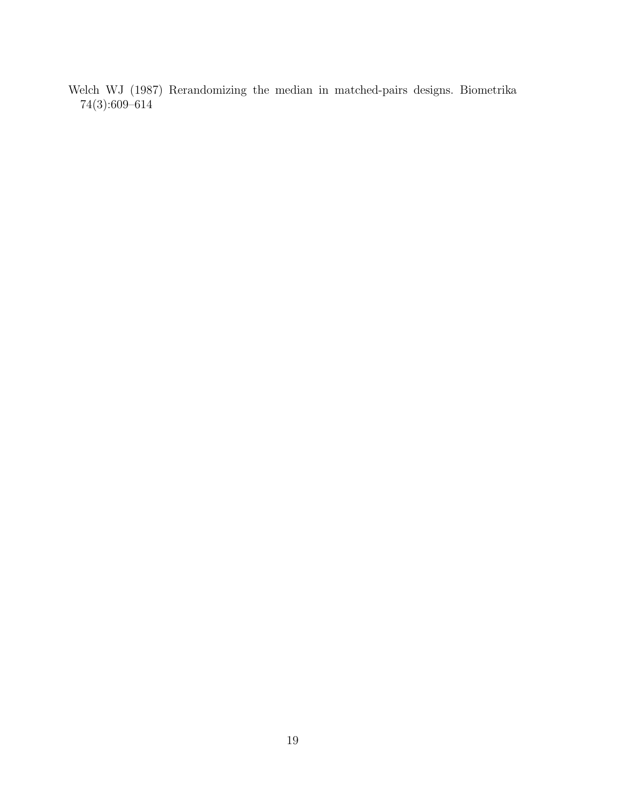<span id="page-18-0"></span>Welch WJ (1987) Rerandomizing the median in matched-pairs designs. Biometrika 74(3):609–614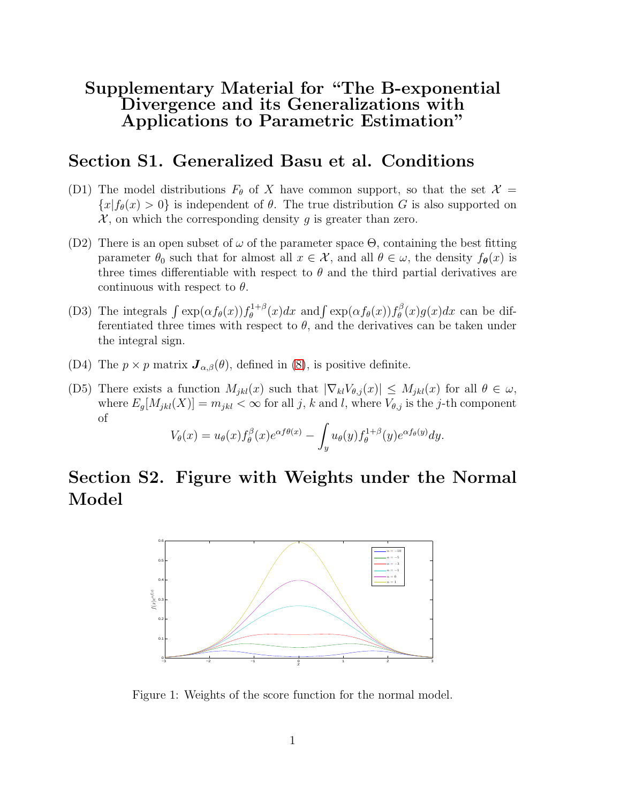## Supplementary Material for "The B-exponential Divergence and its Generalizations with Applications to Parametric Estimation"

### Section S1. Generalized Basu et al. Conditions

- (D1) The model distributions  $F_{\theta}$  of X have common support, so that the set  $\mathcal{X} =$  ${x|f_{\theta}(x) > 0}$  is independent of  $\theta$ . The true distribution G is also supported on  $\mathcal{X}$ , on which the corresponding density g is greater than zero.
- (D2) There is an open subset of  $\omega$  of the parameter space  $\Theta$ , containing the best fitting parameter  $\theta_0$  such that for almost all  $x \in \mathcal{X}$ , and all  $\theta \in \omega$ , the density  $f_{\theta}(x)$  is three times differentiable with respect to  $\theta$  and the third partial derivatives are continuous with respect to  $\theta$ .
- (D3) The integrals  $\int \exp(\alpha f_\theta(x)) f_\theta^{1+\beta}$  $\int_{\theta}^{1+\beta}(x)dx$  and  $\int \exp(\alpha f_{\theta}(x))f_{\theta}^{\beta}$  $\int_{\theta}^{\beta} (x) g(x) dx$  can be differentiated three times with respect to  $\theta$ , and the derivatives can be taken under the integral sign.
- (D4) The  $p \times p$  matrix  $\mathbf{J}_{\alpha,\beta}(\theta)$ , defined in [\(8\)](#page-5-1), is positive definite.
- (D5) There exists a function  $M_{jkl}(x)$  such that  $|\nabla_{kl}V_{\theta,j}(x)| \leq M_{jkl}(x)$  for all  $\theta \in \omega$ , where  $E_g[M_{jkl}(X)] = m_{jkl} < \infty$  for all j, k and l, where  $V_{\theta,j}$  is the j-th component of

$$
V_{\theta}(x) = u_{\theta}(x) f_{\theta}^{\beta}(x) e^{\alpha f \theta(x)} - \int_{y} u_{\theta}(y) f_{\theta}^{1+\beta}(y) e^{\alpha f_{\theta}(y)} dy.
$$

## Section S2. Figure with Weights under the Normal Model



<span id="page-19-0"></span>Figure 1: Weights of the score function for the normal model.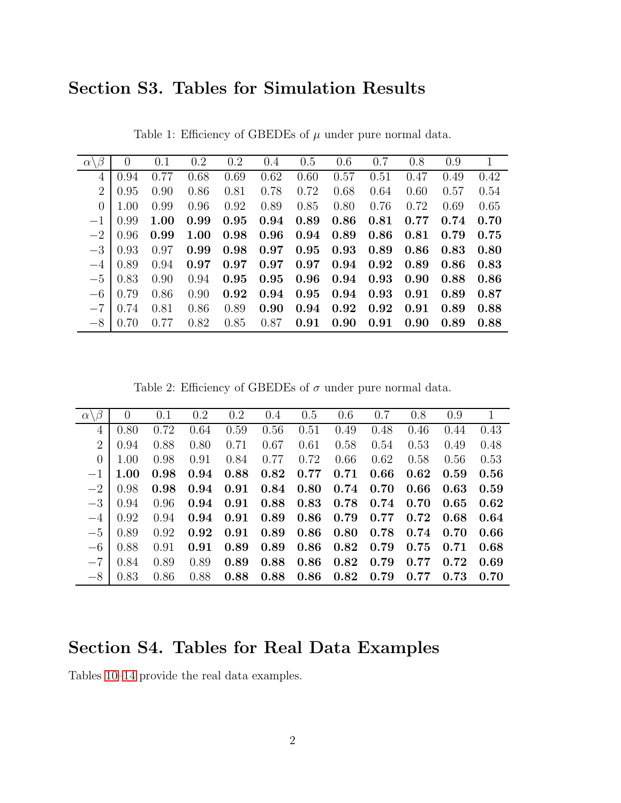## Section S3. Tables for Simulation Results

| $\alpha \backslash \beta$ | $\theta$ | 0.1  | 0.2  | 0.2  | 0.4        | 0.5      | 0.6        | 0.7        | 0.8                        | 0.9        | $\mathbf{1}$ |
|---------------------------|----------|------|------|------|------------|----------|------------|------------|----------------------------|------------|--------------|
| 4                         | 0.94     | 0.77 | 0.68 | 0.69 | 0.62       | 0.60     | 0.57       | 0.51       | 0.47                       | 0.49       | 0.42         |
| $\overline{2}$            | 0.95     | 0.90 | 0.86 | 0.81 | 0.78       | 0.72     | 0.68       | 0.64       | 0.60                       | 0.57       | 0.54         |
| $\overline{0}$            | 1.00     | 0.99 | 0.96 | 0.92 | 0.89       | 0.85     | 0.80       | 0.76       | 0.72                       | 0.69       | 0.65         |
| $-1$                      | 0.99     | 1.00 | 0.99 | 0.95 | 0.94       | 0.89     | 0.86       | 0.81       | 0.77                       | 0.74       | 0.70         |
| $-2$                      | 0.96     | 0.99 | 1.00 | 0.98 | 0.96       | $0.94\,$ | 0.89       | 0.86       | 0.81                       | 0.79       | 0.75         |
| $-3$                      | 0.93     | 0.97 | 0.99 | 0.98 | $0.97\,$   | 0.95     | $\,0.93\,$ | 0.89       | 0.86                       | $\,0.83\,$ | 0.80         |
| $-4$                      | 0.89     | 0.94 | 0.97 | 0.97 | $\,0.97\,$ | $0.97\,$ | $0.94\,$   | 0.92       | $0.89\,$                   | 0.86       | 0.83         |
| $-5$                      | 0.83     | 0.90 | 0.94 | 0.95 | 0.95       | $0.96\,$ | $\,0.94\,$ | $\,0.93\,$ | $0.90\quad 0.88$           |            | 0.86         |
| $-6$                      | 0.79     | 0.86 | 0.90 | 0.92 | 0.94       | 0.95     | $\,0.94\,$ | $0.93\,$   | $\boldsymbol{0.91}$        | 0.89       | 0.87         |
| $-7$                      | 0.74     | 0.81 | 0.86 | 0.89 | 0.90       | 0.94     | 0.92       | 0.92       | $\,0.91\,$                 | 0.89       | 0.88         |
| $-8$                      | 0.70     | 0.77 | 0.82 | 0.85 | 0.87       | 0.91     | 0.90       | 0.91       | $0.90\quad 0.89\quad 0.88$ |            |              |

<span id="page-20-0"></span>Table 1: Efficiency of GBEDEs of  $\mu$  under pure normal data.

<span id="page-20-1"></span>Table 2: Efficiency of GBEDEs of  $\sigma$  under pure normal data.

| $\alpha \backslash \beta$ | $\overline{0}$ | 0.1  | 0.2  | 0.2  | 0.4  | 0.5  | 0.6  | 0.7  | 0.8  | 0.9  | $\mathbf{1}$ |
|---------------------------|----------------|------|------|------|------|------|------|------|------|------|--------------|
| 4                         | 0.80           | 0.72 | 0.64 | 0.59 | 0.56 | 0.51 | 0.49 | 0.48 | 0.46 | 0.44 | 0.43         |
| $\overline{2}$            | 0.94           | 0.88 | 0.80 | 0.71 | 0.67 | 0.61 | 0.58 | 0.54 | 0.53 | 0.49 | 0.48         |
| $\overline{0}$            | 1.00           | 0.98 | 0.91 | 0.84 | 0.77 | 0.72 | 0.66 | 0.62 | 0.58 | 0.56 | 0.53         |
| $-1$                      | 1.00           | 0.98 | 0.94 | 0.88 | 0.82 | 0.77 | 0.71 | 0.66 | 0.62 | 0.59 | 0.56         |
| $-2$                      | 0.98           | 0.98 | 0.94 | 0.91 | 0.84 | 0.80 | 0.74 | 0.70 | 0.66 | 0.63 | 0.59         |
| $-3$                      | 0.94           | 0.96 | 0.94 | 0.91 | 0.88 | 0.83 | 0.78 | 0.74 | 0.70 | 0.65 | 0.62         |
| $-4$                      | 0.92           | 0.94 | 0.94 | 0.91 | 0.89 | 0.86 | 0.79 | 0.77 | 0.72 | 0.68 | 0.64         |
| $-5$                      | 0.89           | 0.92 | 0.92 | 0.91 | 0.89 | 0.86 | 0.80 | 0.78 | 0.74 | 0.70 | 0.66         |
| $-6$                      | 0.88           | 0.91 | 0.91 | 0.89 | 0.89 | 0.86 | 0.82 | 0.79 | 0.75 | 0.71 | 0.68         |
| $-7$                      | 0.84           | 0.89 | 0.89 | 0.89 | 0.88 | 0.86 | 0.82 | 0.79 | 0.77 | 0.72 | 0.69         |
| $-8$                      | 0.83           | 0.86 | 0.88 | 0.88 | 0.88 | 0.86 | 0.82 | 0.79 | 0.77 | 0.73 | 0.70         |

## Section S4. Tables for Real Data Examples

Tables [10–](#page-26-1)[14](#page-27-2) provide the real data examples.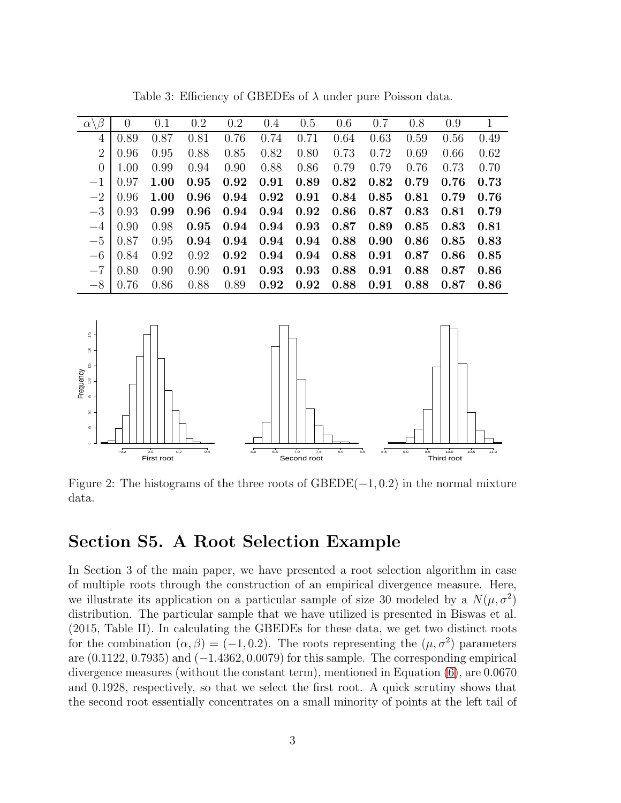| $\beta$<br>$\alpha \setminus$ | $\overline{0}$ | 0.1  | $0.2\,$ | 0.2  | 0.4  | 0.5  | 0.6  | 0.7  | 0.8  | 0.9  | $\mathbf{1}$ |
|-------------------------------|----------------|------|---------|------|------|------|------|------|------|------|--------------|
| 4                             | 0.89           | 0.87 | 0.81    | 0.76 | 0.74 | 0.71 | 0.64 | 0.63 | 0.59 | 0.56 | 0.49         |
| $\overline{2}$                | 0.96           | 0.95 | 0.88    | 0.85 | 0.82 | 0.80 | 0.73 | 0.72 | 0.69 | 0.66 | 0.62         |
| $\theta$                      | 1.00           | 0.99 | 0.94    | 0.90 | 0.88 | 0.86 | 0.79 | 0.79 | 0.76 | 0.73 | 0.70         |
| $-1$                          | 0.97           | 1.00 | 0.95    | 0.92 | 0.91 | 0.89 | 0.82 | 0.82 | 0.79 | 0.76 | 0.73         |
| $-2\,$                        | 0.96           | 1.00 | 0.96    | 0.94 | 0.92 | 0.91 | 0.84 | 0.85 | 0.81 | 0.79 | 0.76         |
| $-3\,$                        | 0.93           | 0.99 | 0.96    | 0.94 | 0.94 | 0.92 | 0.86 | 0.87 | 0.83 | 0.81 | 0.79         |
| $-4$                          | 0.90           | 0.98 | 0.95    | 0.94 | 0.94 | 0.93 | 0.87 | 0.89 | 0.85 | 0.83 | 0.81         |
| $-5$                          | 0.87           | 0.95 | 0.94    | 0.94 | 0.94 | 0.94 | 0.88 | 0.90 | 0.86 | 0.85 | 0.83         |
| $-6$                          | 0.84           | 0.92 | 0.92    | 0.92 | 0.94 | 0.94 | 0.88 | 0.91 | 0.87 | 0.86 | 0.85         |
| $-\mathbf{7}$                 | 0.80           | 0.90 | 0.90    | 0.91 | 0.93 | 0.93 | 0.88 | 0.91 | 0.88 | 0.87 | 0.86         |
| $-8\,$                        | 0.76           | 0.86 | 0.88    | 0.89 | 0.92 | 0.92 | 0.88 | 0.91 | 0.88 | 0.87 | 0.86         |
|                               |                |      |         |      |      |      |      |      |      |      |              |
| ίß<br>8<br>125                |                |      |         |      |      |      |      |      |      |      |              |
| lency                         |                |      |         |      |      |      |      |      |      |      |              |

<span id="page-21-1"></span>Table 3: Efficiency of GBEDEs of  $\lambda$  under pure Poisson data.



<span id="page-21-0"></span>Figure 2: The histograms of the three roots of  $GBEDE(-1, 0.2)$  in the normal mixture data.

## Section S5. A Root Selection Example

In Section 3 of the main paper, we have presented a root selection algorithm in case of multiple roots through the construction of an empirical divergence measure. Here, we illustrate its application on a particular sample of size 30 modeled by a  $N(\mu, \sigma^2)$ distribution. The particular sample that we have utilized is presented in Biswas et al. (2015, Table II). In calculating the GBEDEs for these data, we get two distinct roots for the combination  $(\alpha, \beta) = (-1, 0.2)$ . The roots representing the  $(\mu, \sigma^2)$  parameters are  $(0.1122, 0.7935)$  and  $(-1.4362, 0.0079)$  for this sample. The corresponding empirical divergence measures (without the constant term), mentioned in Equation [\(6\)](#page-4-3), are 0.0670 and 0.1928, respectively, so that we select the first root. A quick scrutiny shows that the second root essentially concentrates on a small minority of points at the left tail of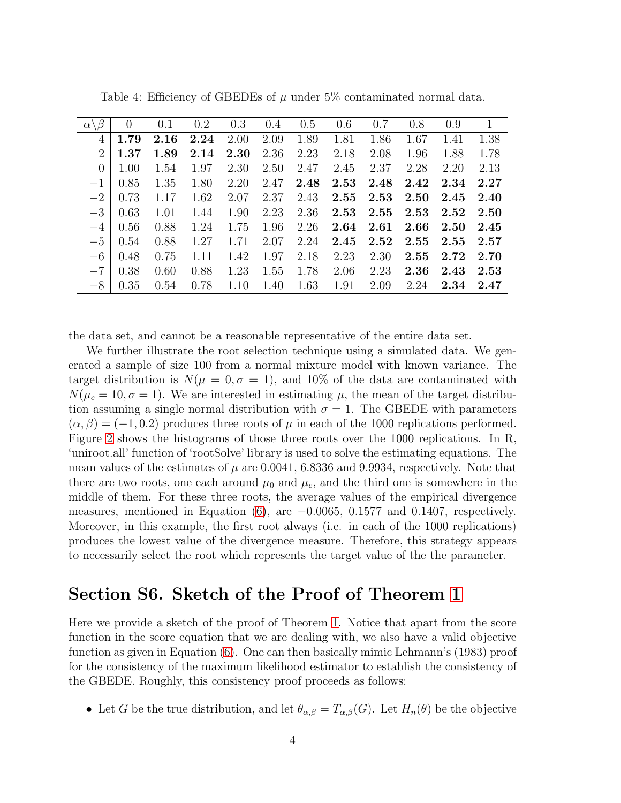| $\alpha$       | $\theta$  | 0.1  | 0.2  | 0.3  | 0.4  | 0.5  | 0.6  | 0.7  | 0.8      | 0.9  |      |
|----------------|-----------|------|------|------|------|------|------|------|----------|------|------|
| 4              | 1.79      | 2.16 | 2.24 | 2.00 | 2.09 | 1.89 | 1.81 | 1.86 | 1.67     | 1.41 | 1.38 |
| $\overline{2}$ | 1.37      | 1.89 | 2.14 | 2.30 | 2.36 | 2.23 | 2.18 | 2.08 | 1.96     | 1.88 | 1.78 |
| $\overline{0}$ | 1.00      | 1.54 | 1.97 | 2.30 | 2.50 | 2.47 | 2.45 | 2.37 | 2.28     | 2.20 | 2.13 |
| $-1$           | 0.85      | 1.35 | 1.80 | 2.20 | 2.47 | 2.48 | 2.53 | 2.48 | 2.42     | 2.34 | 2.27 |
| $-2$           | 0.73      | 1.17 | 1.62 | 2.07 | 2.37 | 2.43 | 2.55 | 2.53 | $2.50\,$ | 2.45 | 2.40 |
|                | $-3$ 0.63 | 1.01 | 1.44 | 1.90 | 2.23 | 2.36 | 2.53 | 2.55 | 2.53     | 2.52 | 2.50 |
| $-4$           | 0.56      | 0.88 | 1.24 | 1.75 | 1.96 | 2.26 | 2.64 | 2.61 | 2.66     | 2.50 | 2.45 |
|                | $-5$ 0.54 | 0.88 | 1.27 | 1.71 | 2.07 | 2.24 | 2.45 | 2.52 | 2.55     | 2.55 | 2.57 |
| $-6$           | 0.48      | 0.75 | 1.11 | 1.42 | 1.97 | 2.18 | 2.23 | 2.30 | 2.55     | 2.72 | 2.70 |
|                | $-7$ 0.38 | 0.60 | 0.88 | 1.23 | 1.55 | 1.78 | 2.06 | 2.23 | 2.36     | 2.43 | 2.53 |
| $-8$           | 0.35      | 0.54 | 0.78 | 1.10 | 1.40 | 1.63 | 1.91 | 2.09 | 2.24     | 2.34 | 2.47 |

<span id="page-22-0"></span>Table 4: Efficiency of GBEDEs of  $\mu$  under 5% contaminated normal data.

the data set, and cannot be a reasonable representative of the entire data set.

We further illustrate the root selection technique using a simulated data. We generated a sample of size 100 from a normal mixture model with known variance. The target distribution is  $N(\mu = 0, \sigma = 1)$ , and 10% of the data are contaminated with  $N(\mu_c = 10, \sigma = 1)$ . We are interested in estimating  $\mu$ , the mean of the target distribution assuming a single normal distribution with  $\sigma = 1$ . The GBEDE with parameters  $(\alpha, \beta) = (-1, 0.2)$  produces three roots of  $\mu$  in each of the 1000 replications performed. Figure [2](#page-21-0) shows the histograms of those three roots over the 1000 replications. In R, 'uniroot.all' function of 'rootSolve' library is used to solve the estimating equations. The mean values of the estimates of  $\mu$  are 0.0041, 6.8336 and 9.9934, respectively. Note that there are two roots, one each around  $\mu_0$  and  $\mu_c$ , and the third one is somewhere in the middle of them. For these three roots, the average values of the empirical divergence measures, mentioned in Equation  $(6)$ , are  $-0.0065$ , 0.1577 and 0.1407, respectively. Moreover, in this example, the first root always (i.e. in each of the 1000 replications) produces the lowest value of the divergence measure. Therefore, this strategy appears to necessarily select the root which represents the target value of the the parameter.

## Section S6. Sketch of the Proof of Theorem [1](#page-5-4)

Here we provide a sketch of the proof of Theorem [1.](#page-5-4) Notice that apart from the score function in the score equation that we are dealing with, we also have a valid objective function as given in Equation [\(6\)](#page-4-3). One can then basically mimic Lehmann's (1983) proof for the consistency of the maximum likelihood estimator to establish the consistency of the GBEDE. Roughly, this consistency proof proceeds as follows:

• Let G be the true distribution, and let  $\theta_{\alpha,\beta} = T_{\alpha,\beta}(G)$ . Let  $H_n(\theta)$  be the objective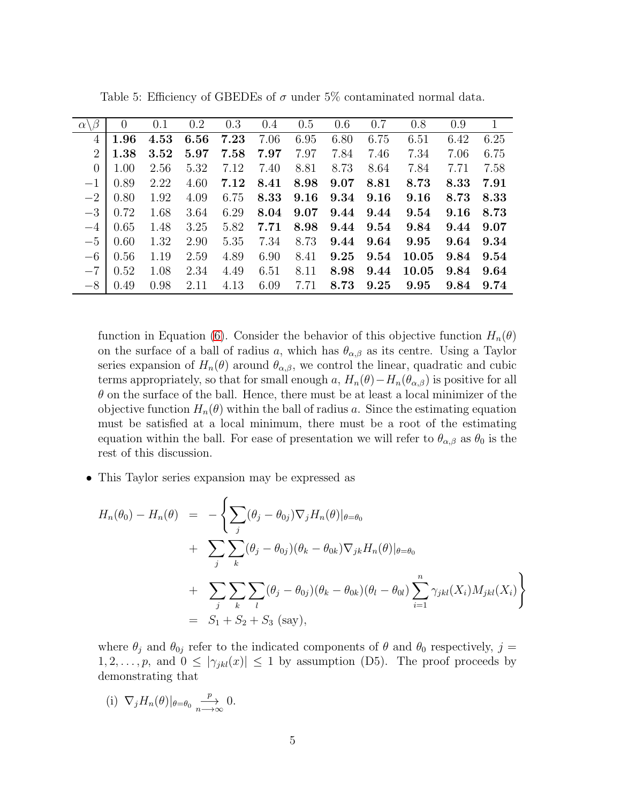| $\alpha \setminus$ | $\overline{0}$ | 0.1  | 0.2  | 0.3  | 0.4  | 0.5  | 0.6  | 0.7  | 0.8   | 0.9  | $\mathbf{1}$ |
|--------------------|----------------|------|------|------|------|------|------|------|-------|------|--------------|
| 4                  | 1.96           | 4.53 | 6.56 | 7.23 | 7.06 | 6.95 | 6.80 | 6.75 | 6.51  | 6.42 | 6.25         |
| $\overline{2}$     | 1.38           | 3.52 | 5.97 | 7.58 | 7.97 | 7.97 | 7.84 | 7.46 | 7.34  | 7.06 | 6.75         |
| $\overline{0}$     | 1.00           | 2.56 | 5.32 | 7.12 | 7.40 | 8.81 | 8.73 | 8.64 | 7.84  | 7.71 | 7.58         |
| $-1$               | 0.89           | 2.22 | 4.60 | 7.12 | 8.41 | 8.98 | 9.07 | 8.81 | 8.73  | 8.33 | 7.91         |
| $-2$               | 0.80           | 1.92 | 4.09 | 6.75 | 8.33 | 9.16 | 9.34 | 9.16 | 9.16  | 8.73 | 8.33         |
| $-3$               | 0.72           | 1.68 | 3.64 | 6.29 | 8.04 | 9.07 | 9.44 | 9.44 | 9.54  | 9.16 | 8.73         |
| $-4$               | 0.65           | 1.48 | 3.25 | 5.82 | 7.71 | 8.98 | 9.44 | 9.54 | 9.84  | 9.44 | 9.07         |
| $-5$               | 0.60           | 1.32 | 2.90 | 5.35 | 7.34 | 8.73 | 9.44 | 9.64 | 9.95  | 9.64 | 9.34         |
| $-6$               | 0.56           | 1.19 | 2.59 | 4.89 | 6.90 | 8.41 | 9.25 | 9.54 | 10.05 | 9.84 | 9.54         |
| $-7$               | 0.52           | 1.08 | 2.34 | 4.49 | 6.51 | 8.11 | 8.98 | 9.44 | 10.05 | 9.84 | 9.64         |
| $-8$               | 0.49           | 0.98 | 2.11 | 4.13 | 6.09 | 7.71 | 8.73 | 9.25 | 9.95  | 9.84 | 9.74         |

<span id="page-23-0"></span>Table 5: Efficiency of GBEDEs of  $\sigma$  under 5% contaminated normal data.

function in Equation [\(6\)](#page-4-3). Consider the behavior of this objective function  $H_n(\theta)$ on the surface of a ball of radius a, which has  $\theta_{\alpha,\beta}$  as its centre. Using a Taylor series expansion of  $H_n(\theta)$  around  $\theta_{\alpha,\beta}$ , we control the linear, quadratic and cubic terms appropriately, so that for small enough a,  $H_n(\theta) - H_n(\theta_{\alpha,\beta})$  is positive for all  $\theta$  on the surface of the ball. Hence, there must be at least a local minimizer of the objective function  $H_n(\theta)$  within the ball of radius a. Since the estimating equation must be satisfied at a local minimum, there must be a root of the estimating equation within the ball. For ease of presentation we will refer to  $\theta_{\alpha,\beta}$  as  $\theta_0$  is the rest of this discussion.

• This Taylor series expansion may be expressed as

$$
H_n(\theta_0) - H_n(\theta) = -\left\{ \sum_j (\theta_j - \theta_{0j}) \nabla_j H_n(\theta) |_{\theta = \theta_0} \right.+ \sum_j \sum_k (\theta_j - \theta_{0j}) (\theta_k - \theta_{0k}) \nabla_{jk} H_n(\theta) |_{\theta = \theta_0}+ \sum_j \sum_k \sum_l (\theta_j - \theta_{0j}) (\theta_k - \theta_{0k}) (\theta_l - \theta_{0l}) \sum_{i=1}^n \gamma_{jkl}(X_i) M_{jkl}(X_i) \right\}= S_1 + S_2 + S_3 \text{ (say)},
$$

where  $\theta_j$  and  $\theta_{0j}$  refer to the indicated components of  $\theta$  and  $\theta_0$  respectively,  $j =$  $1, 2, \ldots, p$ , and  $0 \le |\gamma_{jkl}(x)| \le 1$  by assumption (D5). The proof proceeds by demonstrating that

(i)  $\nabla_j H_n(\theta)|_{\theta=\theta_0} = \frac{p}{n}$  $\overset{P}{\longrightarrow} 0.$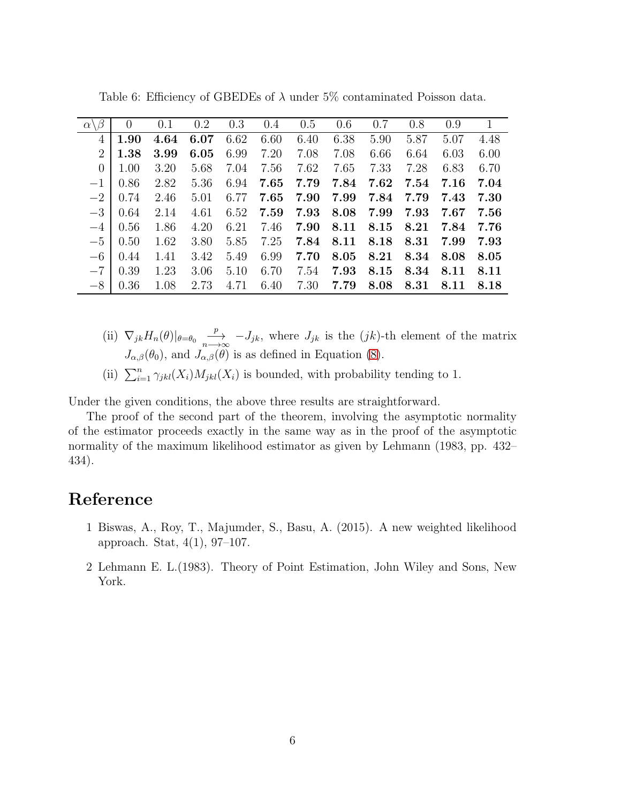| $\alpha \backslash \beta$ | $\overline{0}$ | 0.1  | 0.2  | 0.3  | 0.4  | 0.5  | 0.6  | 0.7  | 0.8  | 0.9  | $\mathbf{1}$ |
|---------------------------|----------------|------|------|------|------|------|------|------|------|------|--------------|
| 4                         | 1.90           | 4.64 | 6.07 | 6.62 | 6.60 | 6.40 | 6.38 | 5.90 | 5.87 | 5.07 | 4.48         |
| $\overline{2}$            | 1.38           | 3.99 | 6.05 | 6.99 | 7.20 | 7.08 | 7.08 | 6.66 | 6.64 | 6.03 | 6.00         |
| $\overline{0}$            | 1.00           | 3.20 | 5.68 | 7.04 | 7.56 | 7.62 | 7.65 | 7.33 | 7.28 | 6.83 | 6.70         |
| $-1$                      | 0.86           | 2.82 | 5.36 | 6.94 | 7.65 | 7.79 | 7.84 | 7.62 | 7.54 | 7.16 | 7.04         |
| $-2$                      | 0.74           | 2.46 | 5.01 | 6.77 | 7.65 | 7.90 | 7.99 | 7.84 | 7.79 | 7.43 | 7.30         |
| $-3$                      | 0.64           | 2.14 | 4.61 | 6.52 | 7.59 | 7.93 | 8.08 | 7.99 | 7.93 | 7.67 | 7.56         |
| $-4$                      | 0.56           | 1.86 | 4.20 | 6.21 | 7.46 | 7.90 | 8.11 | 8.15 | 8.21 | 7.84 | 7.76         |
| $-5$                      | 0.50           | 1.62 | 3.80 | 5.85 | 7.25 | 7.84 | 8.11 | 8.18 | 8.31 | 7.99 | 7.93         |
| $-6$                      | 0.44           | 1.41 | 3.42 | 5.49 | 6.99 | 7.70 | 8.05 | 8.21 | 8.34 | 8.08 | 8.05         |
| $-7$                      | 0.39           | 1.23 | 3.06 | 5.10 | 6.70 | 7.54 | 7.93 | 8.15 | 8.34 | 8.11 | 8.11         |
| $-8$                      | 0.36           | 1.08 | 2.73 | 4.71 | 6.40 | 7.30 | 7.79 | 8.08 | 8.31 | 8.11 | 8.18         |

<span id="page-24-0"></span>Table 6: Efficiency of GBEDEs of  $\lambda$  under 5% contaminated Poisson data.

- (ii)  $\nabla_{jk} H_n(\theta)|_{\theta=\theta_0} \longrightarrow_{n \to \infty} -J_{jk}$ , where  $J_{jk}$  is the  $(jk)$ -th element of the matrix  $J_{\alpha,\beta}(\theta_0)$ , and  $J_{\alpha,\beta}(\theta)$  is as defined in Equation [\(8\)](#page-5-1).
- (ii)  $\sum_{i=1}^{n} \gamma_{jkl}(X_i) M_{jkl}(X_i)$  is bounded, with probability tending to 1.

Under the given conditions, the above three results are straightforward.

The proof of the second part of the theorem, involving the asymptotic normality of the estimator proceeds exactly in the same way as in the proof of the asymptotic normality of the maximum likelihood estimator as given by Lehmann (1983, pp. 432– 434).

## Reference

- 1 Biswas, A., Roy, T., Majumder, S., Basu, A. (2015). A new weighted likelihood approach. Stat, 4(1), 97–107.
- 2 Lehmann E. L.(1983). Theory of Point Estimation, John Wiley and Sons, New York.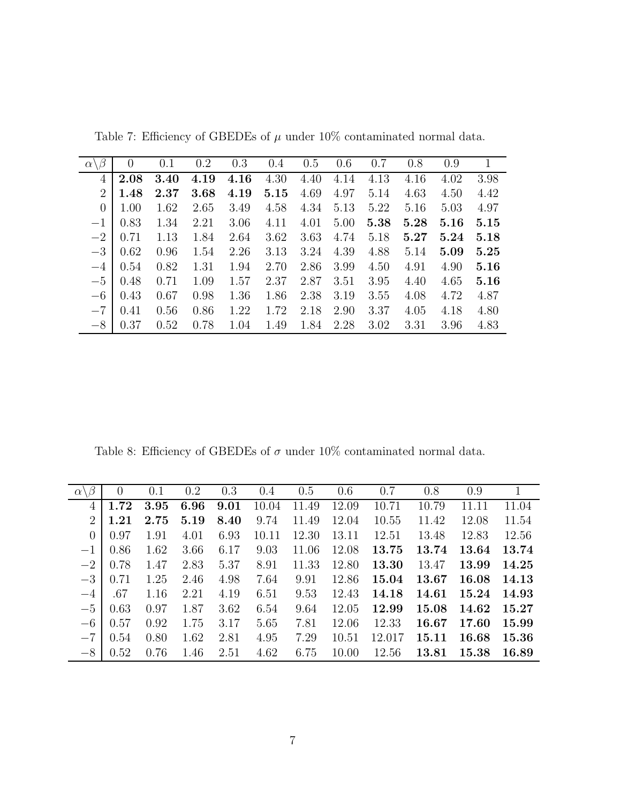|                           | $\theta$ |      | 0.2  | 0.3  |      | 0.5  | 0.6  | 0.7  | 0.8  | 0.9  | $\mathbf{1}$ |
|---------------------------|----------|------|------|------|------|------|------|------|------|------|--------------|
| $\alpha \backslash \beta$ |          | 0.1  |      |      | 0.4  |      |      |      |      |      |              |
| 4                         | 2.08     | 3.40 | 4.19 | 4.16 | 4.30 | 4.40 | 4.14 | 4.13 | 4.16 | 4.02 | 3.98         |
| $\overline{2}$            | 1.48     | 2.37 | 3.68 | 4.19 | 5.15 | 4.69 | 4.97 | 5.14 | 4.63 | 4.50 | 4.42         |
| $\overline{0}$            | 1.00     | 1.62 | 2.65 | 3.49 | 4.58 | 4.34 | 5.13 | 5.22 | 5.16 | 5.03 | 4.97         |
| $-1$                      | 0.83     | 1.34 | 2.21 | 3.06 | 4.11 | 4.01 | 5.00 | 5.38 | 5.28 | 5.16 | 5.15         |
| $-2$                      | 0.71     | 1.13 | 1.84 | 2.64 | 3.62 | 3.63 | 4.74 | 5.18 | 5.27 | 5.24 | 5.18         |
| $-3$                      | 0.62     | 0.96 | 1.54 | 2.26 | 3.13 | 3.24 | 4.39 | 4.88 | 5.14 | 5.09 | 5.25         |
| $-4$                      | 0.54     | 0.82 | 1.31 | 1.94 | 2.70 | 2.86 | 3.99 | 4.50 | 4.91 | 4.90 | 5.16         |
| $-5$                      | 0.48     | 0.71 | 1.09 | 1.57 | 2.37 | 2.87 | 3.51 | 3.95 | 4.40 | 4.65 | 5.16         |
| $-6$                      | 0.43     | 0.67 | 0.98 | 1.36 | 1.86 | 2.38 | 3.19 | 3.55 | 4.08 | 4.72 | 4.87         |
| $-7$                      | 0.41     | 0.56 | 0.86 | 1.22 | 1.72 | 2.18 | 2.90 | 3.37 | 4.05 | 4.18 | 4.80         |
| $-8$                      | 0.37     | 0.52 | 0.78 | 1.04 | 1.49 | 1.84 | 2.28 | 3.02 | 3.31 | 3.96 | 4.83         |

<span id="page-25-0"></span>Table 7: Efficiency of GBEDEs of  $\mu$  under 10% contaminated normal data.

Table 8: Efficiency of GBEDEs of  $\sigma$  under 10% contaminated normal data.

| $\alpha \backslash \beta$ | $\theta$ | 0.1  | 0.2  | 0.3  | 0.4   | 0.5   | 0.6   | 0.7    | 0.8   | 0.9   |       |
|---------------------------|----------|------|------|------|-------|-------|-------|--------|-------|-------|-------|
| 4                         | 1.72     | 3.95 | 6.96 | 9.01 | 10.04 | 11.49 | 12.09 | 10.71  | 10.79 | 11.11 | 11.04 |
| $\overline{2}$            | 1.21     | 2.75 | 5.19 | 8.40 | 9.74  | 11.49 | 12.04 | 10.55  | 11.42 | 12.08 | 11.54 |
| $\overline{0}$            | 0.97     | 1.91 | 4.01 | 6.93 | 10.11 | 12.30 | 13.11 | 12.51  | 13.48 | 12.83 | 12.56 |
| $-1$                      | 0.86     | 1.62 | 3.66 | 6.17 | 9.03  | 11.06 | 12.08 | 13.75  | 13.74 | 13.64 | 13.74 |
| $-2$                      | 0.78     | 1.47 | 2.83 | 5.37 | 8.91  | 11.33 | 12.80 | 13.30  | 13.47 | 13.99 | 14.25 |
| $-3$                      | 0.71     | 1.25 | 2.46 | 4.98 | 7.64  | 9.91  | 12.86 | 15.04  | 13.67 | 16.08 | 14.13 |
| $-4$                      | .67      | 1.16 | 2.21 | 4.19 | 6.51  | 9.53  | 12.43 | 14.18  | 14.61 | 15.24 | 14.93 |
| $-5$                      | 0.63     | 0.97 | 1.87 | 3.62 | 6.54  | 9.64  | 12.05 | 12.99  | 15.08 | 14.62 | 15.27 |
| $-6$                      | 0.57     | 0.92 | 1.75 | 3.17 | 5.65  | 7.81  | 12.06 | 12.33  | 16.67 | 17.60 | 15.99 |
| $-7$                      | 0.54     | 0.80 | 1.62 | 2.81 | 4.95  | 7.29  | 10.51 | 12.017 | 15.11 | 16.68 | 15.36 |
| $-8$                      | 0.52     | 0.76 | 1.46 | 2.51 | 4.62  | 6.75  | 10.00 | 12.56  | 13.81 | 15.38 | 16.89 |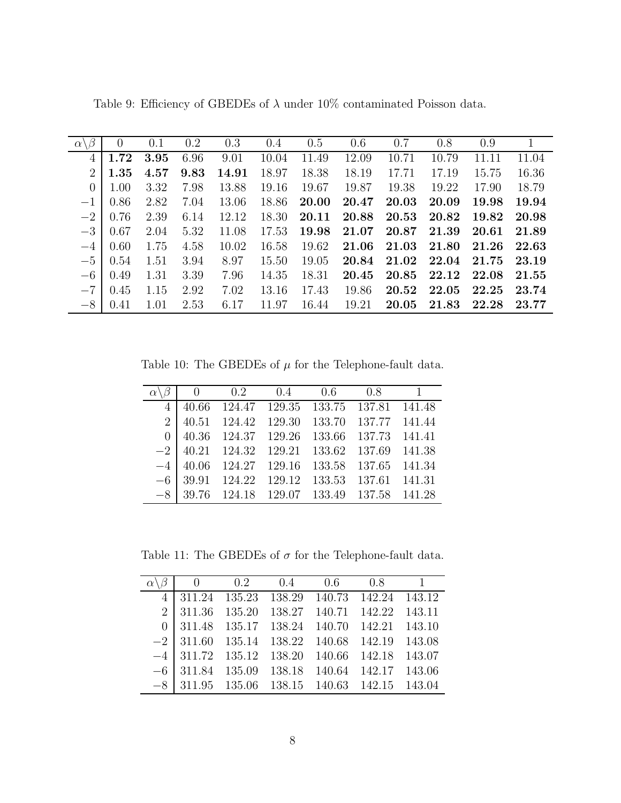| $\alpha \setminus$ | $\theta$ | 0.1  | 0.2  | 0.3   | 0.4   | 0.5   | 0.6   | 0.7   | 0.8   | 0.9       |       |
|--------------------|----------|------|------|-------|-------|-------|-------|-------|-------|-----------|-------|
| 4                  | 1.72     | 3.95 | 6.96 | 9.01  | 10.04 | 11.49 | 12.09 | 10.71 | 10.79 | 11<br>.11 | 11.04 |
| 2                  | 1.35     | 4.57 | 9.83 | 14.91 | 18.97 | 18.38 | 18.19 | 17.71 | 17.19 | 15.75     | 16.36 |
| $\theta$           | 1.00     | 3.32 | 7.98 | 13.88 | 19.16 | 19.67 | 19.87 | 19.38 | 19.22 | 17.90     | 18.79 |
| $-1$               | 0.86     | 2.82 | 7.04 | 13.06 | 18.86 | 20.00 | 20.47 | 20.03 | 20.09 | 19.98     | 19.94 |
| $-2$               | 0.76     | 2.39 | 6.14 | 12.12 | 18.30 | 20.11 | 20.88 | 20.53 | 20.82 | 19.82     | 20.98 |
| $-3$               | 0.67     | 2.04 | 5.32 | 11.08 | 17.53 | 19.98 | 21.07 | 20.87 | 21.39 | 20.61     | 21.89 |
| $-4$               | 0.60     | 1.75 | 4.58 | 10.02 | 16.58 | 19.62 | 21.06 | 21.03 | 21.80 | 21.26     | 22.63 |
| $-5$               | 0.54     | 1.51 | 3.94 | 8.97  | 15.50 | 19.05 | 20.84 | 21.02 | 22.04 | 21.75     | 23.19 |
| $-6$               | 0.49     | 1.31 | 3.39 | 7.96  | 14.35 | 18.31 | 20.45 | 20.85 | 22.12 | 22.08     | 21.55 |
| $-7$               | 0.45     | 1.15 | 2.92 | 7.02  | 13.16 | 17.43 | 19.86 | 20.52 | 22.05 | 22.25     | 23.74 |
| $-8$               | 0.41     | 1.01 | 2.53 | 6.17  | 11.97 | 16.44 | 19.21 | 20.05 | 21.83 | 22.28     | 23.77 |

<span id="page-26-0"></span>Table 9: Efficiency of GBEDEs of  $\lambda$  under 10% contaminated Poisson data.

Table 10: The GBEDEs of  $\mu$  for the Telephone-fault data.

<span id="page-26-1"></span>

|                | $\theta$ | $0.2 \t 0.4 \t 0.6$                |        | 0.8           | $\overline{1}$ |
|----------------|----------|------------------------------------|--------|---------------|----------------|
| $\overline{4}$ | 40.66    | 124.47 129.35 133.75 137.81 141.48 |        |               |                |
| $\overline{2}$ | 40.51    | 124.42 129.30                      | 133.70 | 137.77 141.44 |                |
| $\Omega$       |          | 40.36 124.37 129.26                | 133.66 | 137.73 141.41 |                |
|                |          | $-2$   40.21 124.32 129.21         | 133.62 | 137.69 141.38 |                |
| $-4$           | 40.06    | 124.27 129.16                      | 133.58 | 137.65 141.34 |                |
| $-6$           |          | 39.91 124.22 129.12                | 133.53 | 137.61 141.31 |                |
| $-8$           | 39.76    | 124.18 129.07 133.49 137.58 141.28 |        |               |                |
|                |          |                                    |        |               |                |

<span id="page-26-2"></span>Table 11: The GBEDEs of  $\sigma$  for the Telephone-fault data.

|  | 0 0.2 0.4 0.6 0.8 1                            |  |  |
|--|------------------------------------------------|--|--|
|  | 4 311.24 135.23 138.29 140.73 142.24 143.12    |  |  |
|  | 2 311.36 135.20 138.27 140.71 142.22 143.11    |  |  |
|  | $0$ 311.48 135.17 138.24 140.70 142.21 143.10  |  |  |
|  | $-2$ 311.60 135.14 138.22 140.68 142.19 143.08 |  |  |
|  | $-4$ 311.72 135.12 138.20 140.66 142.18 143.07 |  |  |
|  | $-6$ 311.84 135.09 138.18 140.64 142.17 143.06 |  |  |
|  | $-8$ 311.95 135.06 138.15 140.63 142.15 143.04 |  |  |